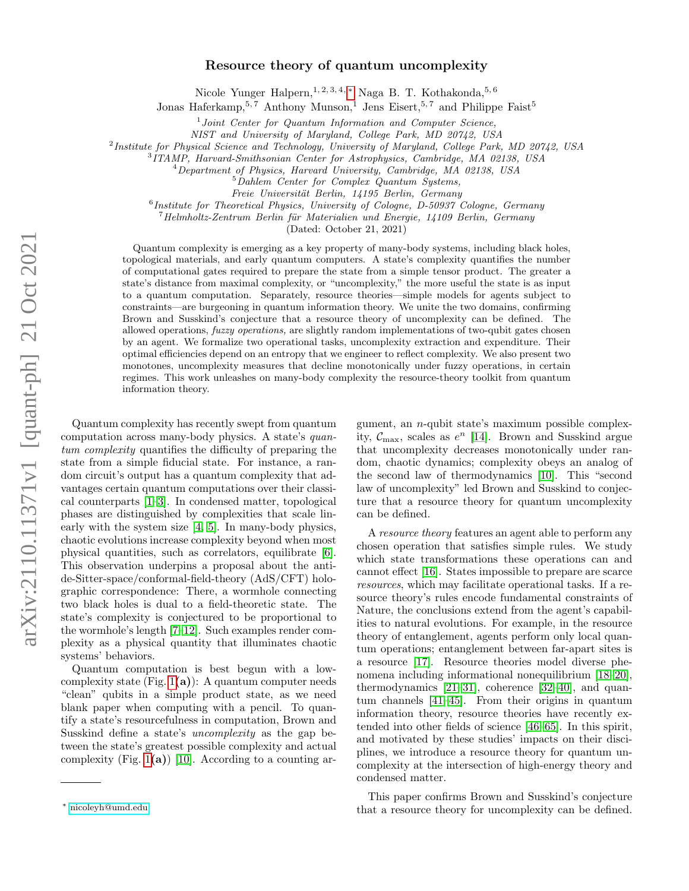# Resource theory of quantum uncomplexity

Nicole Yunger Halpern,  $1, 2, 3, 4, *$  Naga B. T. Kothakonda,  $5, 6$ 

Jonas Haferkamp,  $5, 7$  Anthony Munson,<sup>1</sup> Jens Eisert,  $5, 7$  and Philippe Faist<sup>5</sup>

<sup>1</sup>Joint Center for Quantum Information and Computer Science,

NIST and University of Maryland, College Park, MD 20742, USA

<sup>2</sup> Institute for Physical Science and Technology, University of Maryland, College Park, MD 20742, USA

3 ITAMP, Harvard-Smithsonian Center for Astrophysics, Cambridge, MA 02138, USA

 $^{4}$ Department of Physics, Harvard University, Cambridge, MA 02138, USA

<sup>5</sup>Dahlem Center for Complex Quantum Systems,

Freie Universität Berlin, 14195 Berlin, Germany

<sup>6</sup> Institute for Theoretical Physics, University of Cologne, D-50937 Cologne, Germany

 $7$ Helmholtz-Zentrum Berlin für Materialien und Energie, 14109 Berlin, Germany

(Dated: October 21, 2021)

Quantum complexity is emerging as a key property of many-body systems, including black holes, topological materials, and early quantum computers. A state's complexity quantifies the number of computational gates required to prepare the state from a simple tensor product. The greater a state's distance from maximal complexity, or "uncomplexity," the more useful the state is as input to a quantum computation. Separately, resource theories—simple models for agents subject to constraints—are burgeoning in quantum information theory. We unite the two domains, confirming Brown and Susskind's conjecture that a resource theory of uncomplexity can be defined. The allowed operations, fuzzy operations, are slightly random implementations of two-qubit gates chosen by an agent. We formalize two operational tasks, uncomplexity extraction and expenditure. Their optimal efficiencies depend on an entropy that we engineer to reflect complexity. We also present two monotones, uncomplexity measures that decline monotonically under fuzzy operations, in certain regimes. This work unleashes on many-body complexity the resource-theory toolkit from quantum information theory.

Quantum complexity has recently swept from quantum computation across many-body physics. A state's quantum complexity quantifies the difficulty of preparing the state from a simple fiducial state. For instance, a random circuit's output has a quantum complexity that advantages certain quantum computations over their classical counterparts [\[1](#page-10-0)[–3\]](#page-10-1). In condensed matter, topological phases are distinguished by complexities that scale linearly with the system size [\[4,](#page-10-2) [5\]](#page-10-3). In many-body physics, chaotic evolutions increase complexity beyond when most physical quantities, such as correlators, equilibrate [\[6\]](#page-10-4). This observation underpins a proposal about the antide-Sitter-space/conformal-field-theory (AdS/CFT) holographic correspondence: There, a wormhole connecting two black holes is dual to a field-theoretic state. The state's complexity is conjectured to be proportional to the wormhole's length [\[7](#page-10-5)[–12\]](#page-10-6). Such examples render complexity as a physical quantity that illuminates chaotic systems' behaviors.

Quantum computation is best begun with a lowcomplexity state (Fig.  $1(a)$ ): A quantum computer needs "clean" qubits in a simple product state, as we need blank paper when computing with a pencil. To quantify a state's resourcefulness in computation, Brown and Susskind define a state's uncomplexity as the gap between the state's greatest possible complexity and actual complexity (Fig.  $1(a)$ ) [\[10\]](#page-10-7). According to a counting argument, an n-qubit state's maximum possible complexity,  $C_{\text{max}}$ , scales as  $e^{n}$  [\[14\]](#page-10-8). Brown and Susskind argue that uncomplexity decreases monotonically under random, chaotic dynamics; complexity obeys an analog of the second law of thermodynamics [\[10\]](#page-10-7). This "second law of uncomplexity" led Brown and Susskind to conjecture that a resource theory for quantum uncomplexity can be defined.

A resource theory features an agent able to perform any chosen operation that satisfies simple rules. We study which state transformations these operations can and cannot effect [\[16\]](#page-10-9). States impossible to prepare are scarce resources, which may facilitate operational tasks. If a resource theory's rules encode fundamental constraints of Nature, the conclusions extend from the agent's capabilities to natural evolutions. For example, in the resource theory of entanglement, agents perform only local quantum operations; entanglement between far-apart sites is a resource [\[17\]](#page-10-10). Resource theories model diverse phenomena including informational nonequilibrium [\[18–](#page-10-11)[20\]](#page-10-12), thermodynamics [\[21](#page-10-13)[–31\]](#page-10-14), coherence [\[32](#page-10-15)[–40\]](#page-11-0), and quantum channels [\[41–](#page-11-1)[45\]](#page-11-2). From their origins in quantum information theory, resource theories have recently extended into other fields of science [\[46](#page-11-3)[–65\]](#page-11-4). In this spirit, and motivated by these studies' impacts on their disciplines, we introduce a resource theory for quantum uncomplexity at the intersection of high-energy theory and condensed matter.

This paper confirms Brown and Susskind's conjecture that a resource theory for uncomplexity can be defined.

<span id="page-0-0"></span><sup>∗</sup> [nicoleyh@umd.edu](mailto:nicoleyh@umd.edu)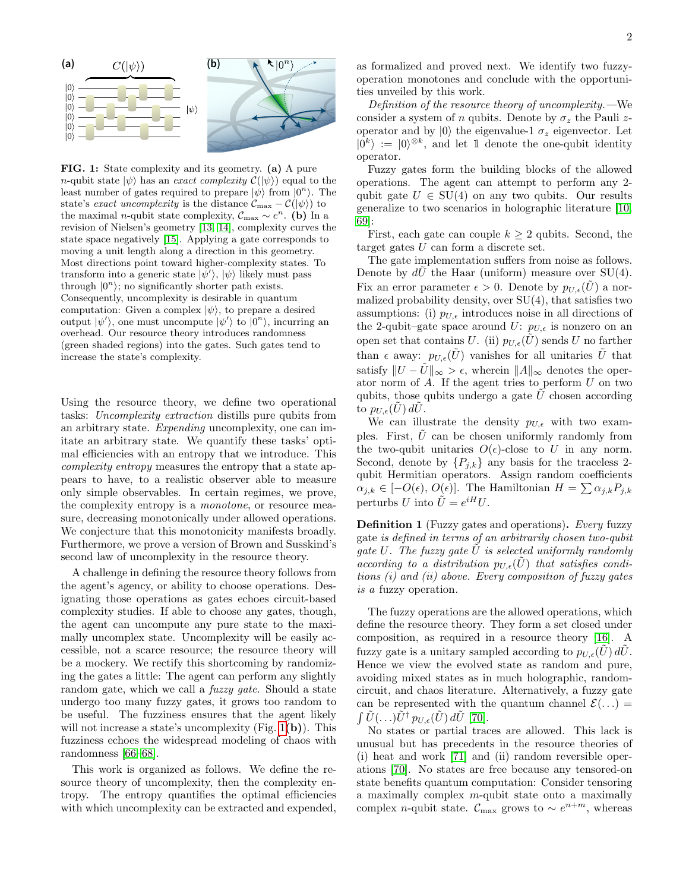<span id="page-1-0"></span>

FIG. 1: State complexity and its geometry. (a) A pure n-qubit state  $|\psi\rangle$  has an exact complexity  $\mathcal{C}(|\psi\rangle)$  equal to the least number of gates required to prepare  $|\psi\rangle$  from  $|0^n\rangle$ . The state's exact uncomplexity is the distance  $\mathcal{C}_{\text{max}} - \mathcal{C}(|\psi\rangle)$  to the maximal *n*-qubit state complexity,  $C_{\text{max}} \sim e^n$ . (b) In a revision of Nielsen's geometry [\[13,](#page-10-16) [14\]](#page-10-8), complexity curves the state space negatively [\[15\]](#page-10-17). Applying a gate corresponds to moving a unit length along a direction in this geometry. Most directions point toward higher-complexity states. To transform into a generic state  $|\psi'\rangle$ ,  $|\psi\rangle$  likely must pass through  $|0^n\rangle$ ; no significantly shorter path exists. Consequently, uncomplexity is desirable in quantum computation: Given a complex  $|\psi\rangle$ , to prepare a desired output  $|\psi'\rangle$ , one must uncompute  $|\psi'\rangle$  to  $|0^n\rangle$ , incurring an overhead. Our resource theory introduces randomness (green shaded regions) into the gates. Such gates tend to increase the state's complexity.

Using the resource theory, we define two operational tasks: Uncomplexity extraction distills pure qubits from an arbitrary state. Expending uncomplexity, one can imitate an arbitrary state. We quantify these tasks' optimal efficiencies with an entropy that we introduce. This complexity entropy measures the entropy that a state appears to have, to a realistic observer able to measure only simple observables. In certain regimes, we prove, the complexity entropy is a monotone, or resource measure, decreasing monotonically under allowed operations. We conjecture that this monotonicity manifests broadly. Furthermore, we prove a version of Brown and Susskind's second law of uncomplexity in the resource theory.

A challenge in defining the resource theory follows from the agent's agency, or ability to choose operations. Designating those operations as gates echoes circuit-based complexity studies. If able to choose any gates, though, the agent can uncompute any pure state to the maximally uncomplex state. Uncomplexity will be easily accessible, not a scarce resource; the resource theory will be a mockery. We rectify this shortcoming by randomizing the gates a little: The agent can perform any slightly random gate, which we call a *fuzzy gate*. Should a state undergo too many fuzzy gates, it grows too random to be useful. The fuzziness ensures that the agent likely will not increase a state's uncomplexity (Fig. [1](#page-1-0)(b)). This fuzziness echoes the widespread modeling of chaos with randomness [\[66](#page-11-5)[–68\]](#page-11-6).

This work is organized as follows. We define the resource theory of uncomplexity, then the complexity entropy. The entropy quantifies the optimal efficiencies with which uncomplexity can be extracted and expended,

Definition of the resource theory of uncomplexity.—We consider a system of n qubits. Denote by  $\sigma_z$  the Pauli zoperator and by  $|0\rangle$  the eigenvalue-1  $\sigma_z$  eigenvector. Let  $|0^k\rangle := |0\rangle^{\otimes k}$ , and let 1 denote the one-qubit identity operator.

Fuzzy gates form the building blocks of the allowed operations. The agent can attempt to perform any 2 qubit gate  $U \in SU(4)$  on any two qubits. Our results generalize to two scenarios in holographic literature [\[10,](#page-10-7) [69\]](#page-11-7):

First, each gate can couple  $k \geq 2$  qubits. Second, the target gates  $U$  can form a discrete set.

The gate implementation suffers from noise as follows. Denote by  $dU$  the Haar (uniform) measure over  $SU(4)$ . Fix an error parameter  $\epsilon > 0$ . Denote by  $p_{U_{\epsilon}}(U)$  a normalized probability density, over SU(4), that satisfies two assumptions: (i)  $p_{U,\epsilon}$  introduces noise in all directions of the 2-qubit–gate space around  $U: p_{U,\epsilon}$  is nonzero on an open set that contains U. (ii)  $p_{U,\epsilon}(\tilde{U})$  sends U no farther than  $\epsilon$  away:  $p_{U,\epsilon}(\tilde{U})$  vanishes for all unitaries  $\tilde{U}$  that satisfy  $||U - \tilde{U}||_{\infty} > \epsilon$ , wherein  $||A||_{\infty}$  denotes the operator norm of  $A$ . If the agent tries to perform  $U$  on two qubits, those qubits undergo a gate  $\tilde{U}$  chosen according to  $p_{U,\epsilon}(U)$  dU.

We can illustrate the density  $p_{U,\epsilon}$  with two examples. First,  $\hat{U}$  can be chosen uniformly randomly from the two-qubit unitaries  $O(\epsilon)$ -close to U in any norm. Second, denote by  $\{P_{j,k}\}\$ any basis for the traceless 2qubit Hermitian operators. Assign random coefficients  $\alpha_{j,k} \in [-O(\epsilon), O(\epsilon)]$ . The Hamiltonian  $H = \sum \alpha_{j,k} P_{j,k}$ perturbs U into  $\tilde{U} = e^{iH}U$ .

<span id="page-1-1"></span>**Definition 1** (Fuzzy gates and operations). Every fuzzy gate is defined in terms of an arbitrarily chosen two-qubit gate U. The fuzzy gate  $\tilde{U}$  is selected uniformly randomly according to a distribution  $p_{U,\epsilon}(\tilde{U})$  that satisfies conditions (i) and (ii) above. Every composition of fuzzy gates is a fuzzy operation.

The fuzzy operations are the allowed operations, which define the resource theory. They form a set closed under composition, as required in a resource theory [\[16\]](#page-10-9). A fuzzy gate is a unitary sampled according to  $p_{U,\epsilon}(\tilde{U}) d\tilde{U}$ . Hence we view the evolved state as random and pure, avoiding mixed states as in much holographic, randomcircuit, and chaos literature. Alternatively, a fuzzy gate can be represented with the quantum channel  $\mathcal{E}(\ldots)$  =  $\int \tilde{U}(\ldots) \tilde{U}^{\dagger} p_{U,\epsilon}(\tilde{U}) d\tilde{U}$  [\[70\]](#page-11-8).

No states or partial traces are allowed. This lack is unusual but has precedents in the resource theories of (i) heat and work [\[71\]](#page-11-9) and (ii) random reversible operations [\[70\]](#page-11-8). No states are free because any tensored-on state benefits quantum computation: Consider tensoring a maximally complex  $m$ -qubit state onto a maximally complex *n*-qubit state.  $\mathcal{C}_{\text{max}}$  grows to ~  $e^{n+m}$ , whereas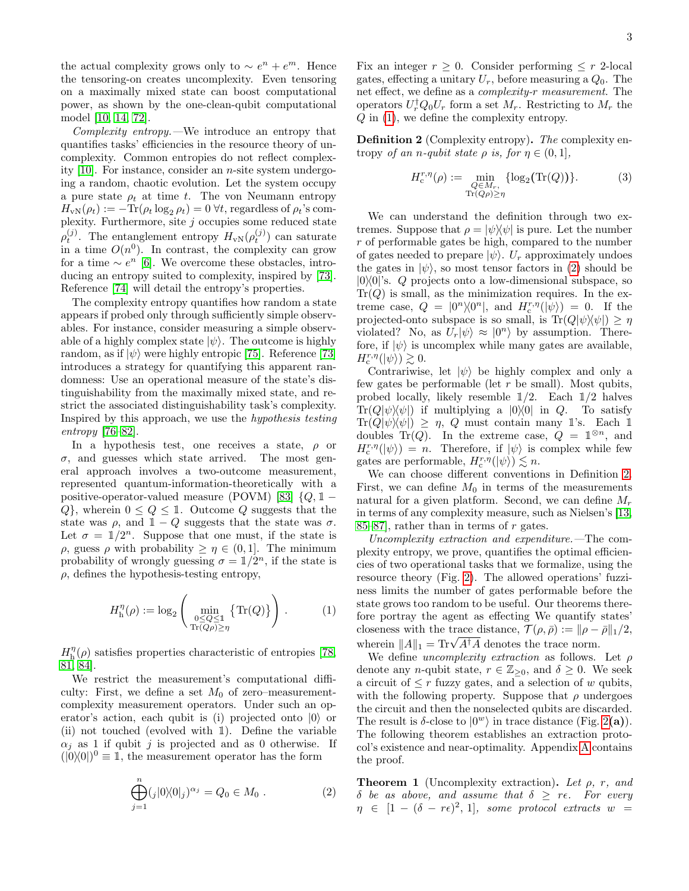the actual complexity grows only to  $\sim e^n + e^m$ . Hence the tensoring-on creates uncomplexity. Even tensoring on a maximally mixed state can boost computational power, as shown by the one-clean-qubit computational model [\[10,](#page-10-7) [14,](#page-10-8) [72\]](#page-11-10).

Complexity entropy.—We introduce an entropy that quantifies tasks' efficiencies in the resource theory of uncomplexity. Common entropies do not reflect complexity  $[10]$ . For instance, consider an *n*-site system undergoing a random, chaotic evolution. Let the system occupy a pure state  $\rho_t$  at time t. The von Neumann entropy  $H_{\rm vN}(\rho_t) := -\text{Tr}(\rho_t \log_2 \rho_t) = 0 \,\forall t$ , regardless of  $\rho_t$ 's complexity. Furthermore, site  $j$  occupies some reduced state  $\rho_t^{(j)}$ . The entanglement entropy  $H_{\rm vN}(\rho_t^{(j)})$  can saturate in a time  $O(n^0)$ . In contrast, the complexity can grow for a time  $\sim e^{n}$  [\[6\]](#page-10-4). We overcome these obstacles, introducing an entropy suited to complexity, inspired by [\[73\]](#page-11-11). Reference [\[74\]](#page-11-12) will detail the entropy's properties.

The complexity entropy quantifies how random a state appears if probed only through sufficiently simple observables. For instance, consider measuring a simple observable of a highly complex state  $|\psi\rangle$ . The outcome is highly random, as if  $|\psi\rangle$  were highly entropic [\[75\]](#page-11-13). Reference [\[73\]](#page-11-11) introduces a strategy for quantifying this apparent randomness: Use an operational measure of the state's distinguishability from the maximally mixed state, and restrict the associated distinguishability task's complexity. Inspired by this approach, we use the hypothesis testing entropy [\[76](#page-11-14)[–82\]](#page-11-15).

In a hypothesis test, one receives a state,  $\rho$  or  $\sigma$ , and guesses which state arrived. The most general approach involves a two-outcome measurement, represented quantum-information-theoretically with a positive-operator-valued measure (POVM) [\[83\]](#page-11-16)  $\{Q, \mathbb{1} Q$ , wherein  $0 \leq Q \leq \mathbb{1}$ . Outcome Q suggests that the state was  $\rho$ , and  $1 - Q$  suggests that the state was  $\sigma$ . Let  $\sigma = 1/2^n$ . Suppose that one must, if the state is  $ρ$ , guess  $ρ$  with probability  $≥ η ∈ (0, 1]$ . The minimum probability of wrongly guessing  $\sigma = \mathbb{1}/2^n$ , if the state is  $\rho$ , defines the hypothesis-testing entropy,

$$
H_h^{\eta}(\rho) := \log_2 \left( \min_{\substack{0 \le Q \le 1 \\ \text{Tr}(Q\rho) \ge \eta}} \left\{ \text{Tr}(Q) \right\} \right). \tag{1}
$$

 $H_{\rm h}^\eta(\rho)$  satisfies properties characteristic of entropies [\[78,](#page-11-17) [81,](#page-11-18) [84\]](#page-11-19).

We restrict the measurement's computational difficulty: First, we define a set  $M_0$  of zero–measurementcomplexity measurement operators. Under such an operator's action, each qubit is (i) projected onto  $|0\rangle$  or (ii) not touched (evolved with 1). Define the variable  $\alpha_i$  as 1 if qubit j is projected and as 0 otherwise. If  $(|0\rangle\langle 0|)^0 \equiv 1$ , the measurement operator has the form

$$
\bigoplus_{j=1}^{n} (j|0\rangle\langle 0|j)^{\alpha_j} = Q_0 \in M_0 . \tag{2}
$$

Fix an integer  $r \geq 0$ . Consider performing  $\leq r$  2-local gates, effecting a unitary  $U_r$ , before measuring a  $Q_0$ . The net effect, we define as a complexity-r measurement. The operators  $U_r^{\dagger} Q_0 U_r$  form a set  $M_r$ . Restricting to  $M_r$  the Q in [\(1\)](#page-2-0), we define the complexity entropy.

<span id="page-2-2"></span>Definition 2 (Complexity entropy). The complexity entropy of an n-qubit state  $\rho$  is, for  $\eta \in (0,1]$ ,

<span id="page-2-4"></span>
$$
H_c^{r,\eta}(\rho) := \min_{\substack{Q \in M_r, \\ \text{Tr}(Q\rho) \ge \eta}} \{\log_2(\text{Tr}(Q))\}.
$$
 (3)

We can understand the definition through two extremes. Suppose that  $\rho = |\psi\rangle\langle\psi|$  is pure. Let the number r of performable gates be high, compared to the number of gates needed to prepare  $|\psi\rangle$ .  $U_r$  approximately undoes the gates in  $|\psi\rangle$ , so most tensor factors in [\(2\)](#page-2-1) should be  $|0\rangle\langle 0|$ 's. Q projects onto a low-dimensional subspace, so  $Tr(Q)$  is small, as the minimization requires. In the extreme case,  $Q = |0^n\rangle\langle 0^n|$ , and  $H_c^{r,\eta}(|\psi\rangle) = 0$ . If the projected-onto subspace is so small, is  $\text{Tr}(Q|\psi\rangle\langle\psi|) \geq \eta$ violated? No, as  $U_r|\psi\rangle \approx |0^n\rangle$  by assumption. Therefore, if  $|\psi\rangle$  is uncomplex while many gates are available,  $H^{r,\eta}_{\rm c}(\ket{\psi}) \gtrsim 0.$ 

Contrariwise, let  $|\psi\rangle$  be highly complex and only a few gates be performable (let  $r$  be small). Most qubits, probed locally, likely resemble  $1/2$ . Each  $1/2$  halves  $Tr(Q|\psi\rangle\langle\psi|)$  if multiplying a  $|0\rangle\langle 0|$  in Q. To satisfy  $\text{Tr}(Q|\psi\rangle\langle\psi|) \geq \eta$ , Q must contain many 1's. Each 1 doubles  $Tr(Q)$ . In the extreme case,  $Q = \mathbb{1}^{\otimes n}$ , and  $H_c^{r,\eta}(\ket{\psi}) = n$ . Therefore, if  $\ket{\psi}$  is complex while few gates are performable,  $H_c^{r,\eta}(\ket{\psi}) \lesssim n$ .

We can choose different conventions in Definition [2.](#page-2-2) First, we can define  $M_0$  in terms of the measurements natural for a given platform. Second, we can define  $M_r$ in terms of any complexity measure, such as Nielsen's [\[13,](#page-10-16)  $85-87$ , rather than in terms of r gates.

Uncomplexity extraction and expenditure.—The complexity entropy, we prove, quantifies the optimal efficiencies of two operational tasks that we formalize, using the resource theory (Fig. [2\)](#page-3-0). The allowed operations' fuzziness limits the number of gates performable before the state grows too random to be useful. Our theorems therefore portray the agent as effecting We quantify states' closeness with the trace distance,  $\mathcal{T}(\rho, \bar{\rho}) := ||\rho - \bar{\rho}||_1/2$ , closeness with the trace distance,  $\gamma(p, p) := ||p -$ <br>wherein  $||A||_1 = \text{Tr}\sqrt{A^{\dagger}A}$  denotes the trace norm.

<span id="page-2-0"></span>We define *uncomplexity extraction* as follows. Let  $\rho$ denote any *n*-qubit state,  $r \in \mathbb{Z}_{\geq 0}$ , and  $\delta \geq 0$ . We seek a circuit of  $\leq r$  fuzzy gates, and a selection of w qubits, with the following property. Suppose that  $\rho$  undergoes the circuit and then the nonselected qubits are discarded. The result is  $\delta$ -close to  $|0^w\rangle$  in trace distance (Fig. [2](#page-3-0)(a)). The following theorem establishes an extraction protocol's existence and near-optimality. Appendix [A](#page-4-0) contains the proof.

<span id="page-2-3"></span><span id="page-2-1"></span>**Theorem 1** (Uncomplexity extraction). Let  $\rho$ , r, and δ be as above, and assume that  $\delta > r\epsilon$ . For every  $\eta \in [1 - (\delta - r\epsilon)^2, 1]$ , some protocol extracts w =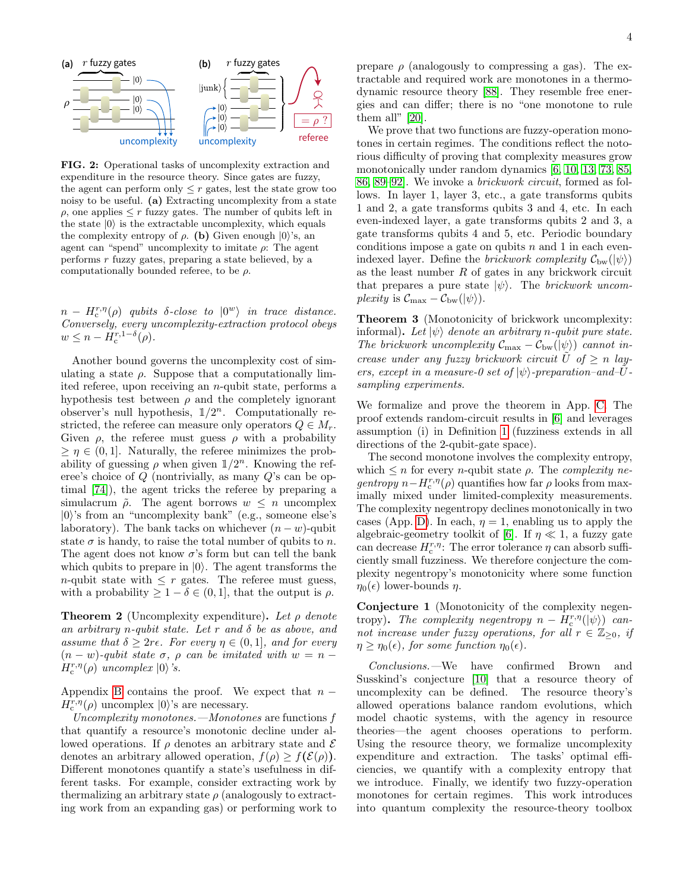<span id="page-3-0"></span>

FIG. 2: Operational tasks of uncomplexity extraction and expenditure in the resource theory. Since gates are fuzzy, the agent can perform only  $\leq r$  gates, lest the state grow too noisy to be useful. (a) Extracting uncomplexity from a state  $\rho$ , one applies  $\leq r$  fuzzy gates. The number of qubits left in the state  $|0\rangle$  is the extractable uncomplexity, which equals the complexity entropy of  $\rho$ . (b) Given enough  $|0\rangle$ 's, an agent can "spend" uncomplexity to imitate  $\rho$ . The agent performs  $r$  fuzzy gates, preparing a state believed, by a computationally bounded referee, to be  $\rho$ .

 $n - H_c^{r,\eta}(\rho)$  qubits  $\delta$ -close to  $|0^w\rangle$  in trace distance. Conversely, every uncomplexity-extraction protocol obeys  $w \leq n - H_c^{r, 1-\delta}(\rho).$ 

Another bound governs the uncomplexity cost of simulating a state  $\rho$ . Suppose that a computationally limited referee, upon receiving an n-qubit state, performs a hypothesis test between  $\rho$  and the completely ignorant observer's null hypothesis,  $1/2^n$ . Computationally restricted, the referee can measure only operators  $Q \in M_r$ . Given  $\rho$ , the referee must guess  $\rho$  with a probability  $\geq \eta \in (0, 1]$ . Naturally, the referee minimizes the probability of guessing  $\rho$  when given  $1/2^n$ . Knowing the referee's choice of Q (nontrivially, as many Q's can be optimal [\[74\]](#page-11-12)), the agent tricks the referee by preparing a simulacrum  $\tilde{\rho}$ . The agent borrows  $w \leq n$  uncomplex  $|0\rangle$ 's from an "uncomplexity bank" (e.g., someone else's laboratory). The bank tacks on whichever  $(n - w)$ -qubit state  $\sigma$  is handy, to raise the total number of qubits to n. The agent does not know  $\sigma$ 's form but can tell the bank which qubits to prepare in  $|0\rangle$ . The agent transforms the *n*-qubit state with  $\leq r$  gates. The referee must guess, with a probability  $\geq 1 - \delta \in (0, 1]$ , that the output is  $\rho$ .

<span id="page-3-2"></span>**Theorem 2** (Uncomplexity expenditure). Let  $\rho$  denote an arbitrary n-qubit state. Let r and  $\delta$  be as above, and assume that  $\delta \geq 2r\epsilon$ . For every  $\eta \in (0,1]$ , and for every  $(n - w)$ -qubit state  $\sigma$ ,  $\rho$  can be imitated with  $w = n - \sigma$  $H_c^{r,\eta}(\rho)$  uncomplex  $|0\rangle$ 's.

Appendix [B](#page-6-0) contains the proof. We expect that  $n H_c^{r,\eta}(\rho)$  uncomplex  $|0\rangle$ 's are necessary.

Uncomplexity monotones.—Monotones are functions f that quantify a resource's monotonic decline under allowed operations. If  $\rho$  denotes an arbitrary state and  $\mathcal E$ denotes an arbitrary allowed operation,  $f(\rho) > f(\mathcal{E}(\rho)).$ Different monotones quantify a state's usefulness in different tasks. For example, consider extracting work by thermalizing an arbitrary state  $\rho$  (analogously to extracting work from an expanding gas) or performing work to prepare  $\rho$  (analogously to compressing a gas). The extractable and required work are monotones in a thermodynamic resource theory [\[88\]](#page-11-22). They resemble free energies and can differ; there is no "one monotone to rule them all"  $[20]$ .

We prove that two functions are fuzzy-operation monotones in certain regimes. The conditions reflect the notorious difficulty of proving that complexity measures grow monotonically under random dynamics [\[6,](#page-10-4) [10,](#page-10-7) [13,](#page-10-16) [73,](#page-11-11) [85,](#page-11-20) [86,](#page-11-23) [89–](#page-11-24)[92\]](#page-11-25). We invoke a brickwork circuit, formed as follows. In layer 1, layer 3, etc., a gate transforms qubits 1 and 2, a gate transforms qubits 3 and 4, etc. In each even-indexed layer, a gate transforms qubits 2 and 3, a gate transforms qubits 4 and 5, etc. Periodic boundary conditions impose a gate on qubits  $n$  and 1 in each evenindexed layer. Define the *brickwork complexity*  $C_{bw}(\ket{\psi})$ as the least number  $R$  of gates in any brickwork circuit that prepares a pure state  $|\psi\rangle$ . The *brickwork uncom*plexity is  $C_{\text{max}} - C_{\text{bw}}(|\psi\rangle)$ .

<span id="page-3-3"></span>Theorem 3 (Monotonicity of brickwork uncomplexity: informal). Let  $|\psi\rangle$  denote an arbitrary n-qubit pure state. The brickwork uncomplexity  $\mathcal{C}_{\text{max}} - \mathcal{C}_{\text{bw}}(\ket{\psi})$  cannot increase under any fuzzy brickwork circuit  $\tilde{U}$  of  $\geq n$  layers, except in a measure-0 set of  $|\psi\rangle$ -preparation-and-Usampling experiments.

We formalize and prove the theorem in App. [C.](#page-7-0) The proof extends random-circuit results in [\[6\]](#page-10-4) and leverages assumption (i) in Definition [1](#page-1-1) (fuzziness extends in all directions of the 2-qubit-gate space).

The second monotone involves the complexity entropy, which  $\leq n$  for every *n*-qubit state  $\rho$ . The *complexity ne-* $\text{gentropy } n - H_c^{r,\eta}(\rho)$  quantifies how far  $\rho$  looks from maximally mixed under limited-complexity measurements. The complexity negentropy declines monotonically in two cases (App. [D\)](#page-9-0). In each,  $\eta = 1$ , enabling us to apply the algebraic-geometry toolkit of [\[6\]](#page-10-4). If  $\eta \ll 1$ , a fuzzy gate can decrease  $H_c^{r,\eta}$ : The error tolerance  $\eta$  can absorb sufficiently small fuzziness. We therefore conjecture the complexity negentropy's monotonicity where some function  $\eta_0(\epsilon)$  lower-bounds  $\eta$ .

<span id="page-3-1"></span>Conjecture 1 (Monotonicity of the complexity negentropy). The complexity negentropy  $n - H_c^{r,\eta}(\ket{\psi})$  cannot increase under fuzzy operations, for all  $r \in \mathbb{Z}_{\geq 0}$ , if  $\eta \geq \eta_0(\epsilon)$ , for some function  $\eta_0(\epsilon)$ .

Conclusions.—We have confirmed Brown and Susskind's conjecture [\[10\]](#page-10-7) that a resource theory of uncomplexity can be defined. The resource theory's allowed operations balance random evolutions, which model chaotic systems, with the agency in resource theories—the agent chooses operations to perform. Using the resource theory, we formalize uncomplexity expenditure and extraction. The tasks' optimal efficiencies, we quantify with a complexity entropy that we introduce. Finally, we identify two fuzzy-operation monotones for certain regimes. This work introduces into quantum complexity the resource-theory toolbox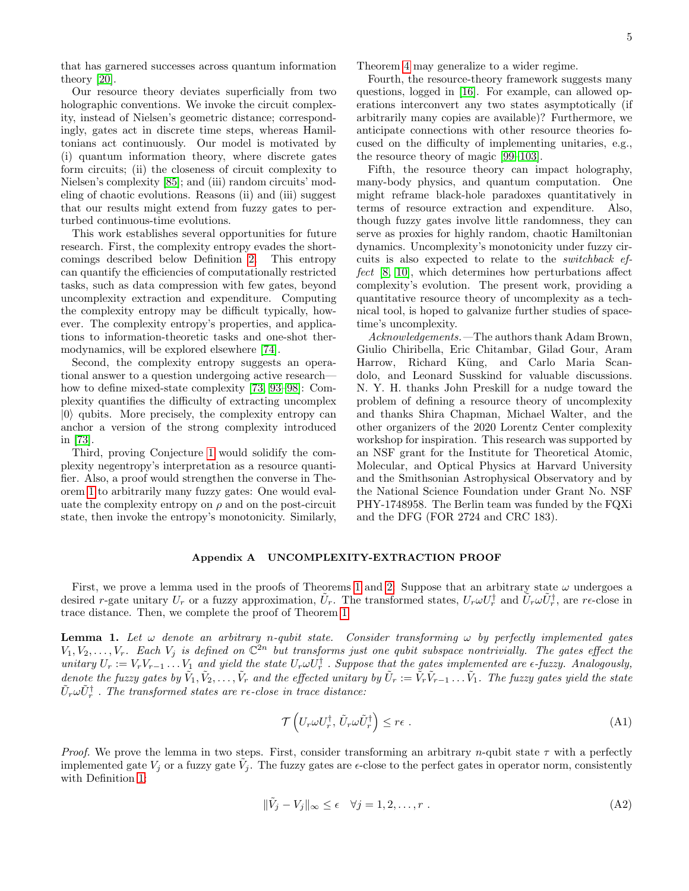that has garnered successes across quantum information theory [\[20\]](#page-10-12).

Our resource theory deviates superficially from two holographic conventions. We invoke the circuit complexity, instead of Nielsen's geometric distance; correspondingly, gates act in discrete time steps, whereas Hamiltonians act continuously. Our model is motivated by (i) quantum information theory, where discrete gates form circuits; (ii) the closeness of circuit complexity to Nielsen's complexity [\[85\]](#page-11-20); and (iii) random circuits' modeling of chaotic evolutions. Reasons (ii) and (iii) suggest that our results might extend from fuzzy gates to perturbed continuous-time evolutions.

This work establishes several opportunities for future research. First, the complexity entropy evades the shortcomings described below Definition [2.](#page-2-2) This entropy can quantify the efficiencies of computationally restricted tasks, such as data compression with few gates, beyond uncomplexity extraction and expenditure. Computing the complexity entropy may be difficult typically, however. The complexity entropy's properties, and applications to information-theoretic tasks and one-shot thermodynamics, will be explored elsewhere [\[74\]](#page-11-12).

Second, the complexity entropy suggests an operational answer to a question undergoing active research how to define mixed-state complexity [\[73,](#page-11-11) [93–](#page-11-26)[98\]](#page-12-0): Complexity quantifies the difficulty of extracting uncomplex  $|0\rangle$  qubits. More precisely, the complexity entropy can anchor a version of the strong complexity introduced in [\[73\]](#page-11-11).

Third, proving Conjecture [1](#page-3-1) would solidify the complexity negentropy's interpretation as a resource quantifier. Also, a proof would strengthen the converse in Theorem [1](#page-2-3) to arbitrarily many fuzzy gates: One would evaluate the complexity entropy on  $\rho$  and on the post-circuit state, then invoke the entropy's monotonicity. Similarly, Theorem [4](#page-7-1) may generalize to a wider regime.

Fourth, the resource-theory framework suggests many questions, logged in [\[16\]](#page-10-9). For example, can allowed operations interconvert any two states asymptotically (if arbitrarily many copies are available)? Furthermore, we anticipate connections with other resource theories focused on the difficulty of implementing unitaries, e.g., the resource theory of magic [\[99](#page-12-1)[–103\]](#page-12-2).

Fifth, the resource theory can impact holography, many-body physics, and quantum computation. One might reframe black-hole paradoxes quantitatively in terms of resource extraction and expenditure. Also, though fuzzy gates involve little randomness, they can serve as proxies for highly random, chaotic Hamiltonian dynamics. Uncomplexity's monotonicity under fuzzy circuits is also expected to relate to the switchback effect [\[8,](#page-10-18) [10\]](#page-10-7), which determines how perturbations affect complexity's evolution. The present work, providing a quantitative resource theory of uncomplexity as a technical tool, is hoped to galvanize further studies of spacetime's uncomplexity.

Acknowledgements.—The authors thank Adam Brown, Giulio Chiribella, Eric Chitambar, Gilad Gour, Aram Harrow, Richard Küng, and Carlo Maria Scandolo, and Leonard Susskind for valuable discussions. N. Y. H. thanks John Preskill for a nudge toward the problem of defining a resource theory of uncomplexity and thanks Shira Chapman, Michael Walter, and the other organizers of the 2020 Lorentz Center complexity workshop for inspiration. This research was supported by an NSF grant for the Institute for Theoretical Atomic, Molecular, and Optical Physics at Harvard University and the Smithsonian Astrophysical Observatory and by the National Science Foundation under Grant No. NSF PHY-1748958. The Berlin team was funded by the FQXi and the DFG (FOR 2724 and CRC 183).

### <span id="page-4-0"></span>Appendix A UNCOMPLEXITY-EXTRACTION PROOF

First, we prove a lemma used in the proofs of Theorems [1](#page-2-3) and [2:](#page-3-2) Suppose that an arbitrary state  $\omega$  undergoes a desired r-gate unitary  $U_r$  or a fuzzy approximation,  $\tilde{U}_r$ . The transformed states,  $U_r \omega U_r^{\dagger}$  and  $\tilde{U}_r \omega \tilde{U}_r^{\dagger}$ , are re-close in trace distance. Then, we complete the proof of Theorem [1.](#page-2-3)

<span id="page-4-3"></span>**Lemma 1.** Let  $\omega$  denote an arbitrary n-qubit state. Consider transforming  $\omega$  by perfectly implemented gates  $V_1, V_2, \ldots, V_r$ . Each  $V_j$  is defined on  $\mathbb{C}^{2n}$  but transforms just one qubit subspace nontrivially. The gates effect the unitary  $U_r := V_r V_{r-1} \dots V_1$  and yield the state  $U_r \omega U_r^{\dagger}$ . Suppose that the gates implemented are  $\epsilon$ -fuzzy. Analogously, denote the fuzzy gates by  $\tilde{V}_1, \tilde{V}_2, \ldots, \tilde{V}_r$  and the effected unitary by  $\tilde{U}_r := \tilde{V}_r \tilde{V}_{r-1} \ldots \tilde{V}_1$ . The fuzzy gates yield the state  $\tilde{U}_r \omega \tilde{U}_r^{\dagger}$  . The transformed states are re-close in trace distance:

<span id="page-4-2"></span><span id="page-4-1"></span>
$$
\mathcal{T}\left(U_r\omega U_r^{\dagger}, \tilde{U}_r\omega \tilde{U}_r^{\dagger}\right) \le r\epsilon . \tag{A1}
$$

*Proof.* We prove the lemma in two steps. First, consider transforming an arbitrary n-qubit state  $\tau$  with a perfectly implemented gate  $V_j$  or a fuzzy gate  $\tilde{V}_j$ . The fuzzy gates are  $\epsilon$ -close to the perfect gates in operator norm, consistently with Definition [1:](#page-1-1)

$$
\|\tilde{V}_j - V_j\|_{\infty} \le \epsilon \quad \forall j = 1, 2, \dots, r \tag{A2}
$$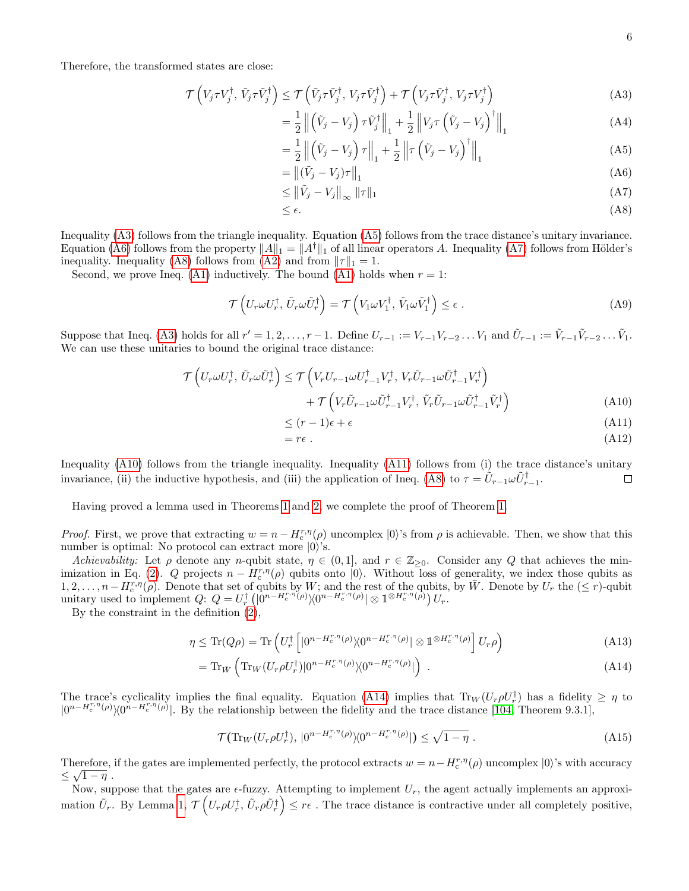Therefore, the transformed states are close:

$$
\mathcal{T}\left(V_j \tau V_j^\dagger, \tilde{V}_j \tau \tilde{V}_j^\dagger\right) \leq \mathcal{T}\left(\tilde{V}_j \tau \tilde{V}_j^\dagger, V_j \tau \tilde{V}_j^\dagger\right) + \mathcal{T}\left(V_j \tau \tilde{V}_j^\dagger, V_j \tau V_j^\dagger\right) \tag{A3}
$$

$$
= \frac{1}{2} \left\| \left( \tilde{V}_j - V_j \right) \tau \tilde{V}_j^{\dagger} \right\|_1 + \frac{1}{2} \left\| V_j \tau \left( \tilde{V}_j - V_j \right)^{\dagger} \right\|_1 \tag{A4}
$$

<span id="page-5-0"></span>
$$
= \frac{1}{2} \left\| \left( \tilde{V}_j - V_j \right) \tau \right\|_1 + \frac{1}{2} \left\| \tau \left( \tilde{V}_j - V_j \right)^\dagger \right\|_1 \tag{A5}
$$

<span id="page-5-2"></span><span id="page-5-1"></span>
$$
= \left\|(\tilde{V}_j - V_j)\tau\right\|_1\tag{A6}
$$

<span id="page-5-3"></span>
$$
\leq \left\| \tilde{V}_j - V_j \right\|_{\infty} \|\tau\|_1 \tag{A7}
$$

<span id="page-5-4"></span>
$$
\leq \epsilon. \tag{A8}
$$

Inequality [\(A3\)](#page-5-0) follows from the triangle inequality. Equation [\(A5\)](#page-5-1) follows from the trace distance's unitary invariance. Equation [\(A6\)](#page-5-2) follows from the property  $||A||_1 = ||A^{\dagger}||_1$  of all linear operators A. Inequality [\(A7\)](#page-5-3) follows from Hölder's inequality. Inequality [\(A8\)](#page-5-4) follows from [\(A2\)](#page-4-1) and from  $||\tau||_1 = 1$ .

Second, we prove Ineq. [\(A1\)](#page-4-2) inductively. The bound (A1) holds when  $r = 1$ :

$$
\mathcal{T}\left(U_r\omega U_r^{\dagger}, \tilde{U}_r\omega \tilde{U}_r^{\dagger}\right) = \mathcal{T}\left(V_1\omega V_1^{\dagger}, \tilde{V}_1\omega \tilde{V}_1^{\dagger}\right) \le \epsilon.
$$
\n(A9)

Suppose that Ineq. [\(A3\)](#page-5-0) holds for all  $r' = 1, 2, ..., r - 1$ . Define  $U_{r-1} := V_{r-1}V_{r-2}...V_1$  and  $\tilde{U}_{r-1} := \tilde{V}_{r-1}\tilde{V}_{r-2}... \tilde{V}_1$ . We can use these unitaries to bound the original trace distance:

$$
\mathcal{T}\left(U_r\omega U_r^{\dagger}, \tilde{U}_r\omega \tilde{U}_r^{\dagger}\right) \leq \mathcal{T}\left(V_r U_{r-1}\omega U_{r-1}^{\dagger} V_r^{\dagger}, V_r \tilde{U}_{r-1}\omega \tilde{U}_{r-1}^{\dagger} V_r^{\dagger}\right) \n+ \mathcal{T}\left(V_r \tilde{U}_{r-1}\omega \tilde{U}_{r-1}^{\dagger} V_r^{\dagger}, \tilde{V}_r \tilde{U}_{r-1}\omega \tilde{U}_{r-1}^{\dagger} \tilde{V}_r^{\dagger}\right)
$$
\n(A10)

<span id="page-5-6"></span><span id="page-5-5"></span>
$$
\leq (r-1)\epsilon + \epsilon \tag{A11}
$$

<span id="page-5-7"></span>
$$
= r\epsilon \tag{A12}
$$

Inequality [\(A10\)](#page-5-5) follows from the triangle inequality. Inequality [\(A11\)](#page-5-6) follows from (i) the trace distance's unitary invariance, (ii) the inductive hypothesis, and (iii) the application of Ineq. [\(A8\)](#page-5-4) to  $\tau = \tilde{U}_{r-1} \omega \tilde{U}_{r-1}^{\dagger}$ .  $\Box$ 

Having proved a lemma used in Theorems [1](#page-2-3) and [2,](#page-3-2) we complete the proof of Theorem [1.](#page-2-3)

*Proof.* First, we prove that extracting  $w = n - H_c^{r,\eta}(\rho)$  uncomplex  $|0\rangle$ 's from  $\rho$  is achievable. Then, we show that this number is optimal: No protocol can extract more  $|0\rangle$ 's.

Achievability: Let  $\rho$  denote any n-qubit state,  $\eta \in (0,1]$ , and  $r \in \mathbb{Z}_{\geq 0}$ . Consider any Q that achieves the min-imization in Eq. [\(2\)](#page-2-2). Q projects  $n - H_c^{r,\eta}(\rho)$  qubits onto  $|0\rangle$ . Without loss of generality, we index those qubits as  $1, 2, \ldots, n-H_c^{r,\eta}(\rho)$ . Denote that set of qubits by W; and the rest of the qubits, by W. Denote by  $U_r$  the  $(\leq r)$ -qubit unitary used to implement  $Q: Q = U_r^{\dagger} \left( \left| 0^{n-H_c^{r,\eta}(\rho)} \right. \right) \!\! \left. \left( 0^{n-H_c^{r,\eta}(\rho)} \right) \otimes 1^{\otimes H_c^{r,\eta}(\rho)} \right) U_r.$ 

By the constraint in the definition [\(2\)](#page-2-2),

$$
\eta \le \text{Tr}(Q\rho) = \text{Tr}\left(U_r^{\dagger} \left[ |0^{n - H_c^{r,\eta}(\rho)} \rangle \langle 0^{n - H_c^{r,\eta}(\rho)}| \otimes \mathbb{1}^{\otimes H_c^{r,\eta}(\rho)} \right] U_r \rho \right) \tag{A13}
$$

$$
= \operatorname{Tr}_{\bar{W}} \left( \operatorname{Tr}_{W} (U_{r} \rho U_{r}^{\dagger}) | 0^{n - H_{c}^{r, \eta}(\rho)} \rangle \langle 0^{n - H_{c}^{r, \eta}(\rho)} | \right) \ . \tag{A14}
$$

The trace's cyclicality implies the final equality. Equation [\(A14\)](#page-5-7) implies that  $\text{Tr}_W(U_r \rho U_r^{\dagger})$  has a fidelity  $\geq \eta$  to  $|0^{n-H_c^{r,\eta}(\rho)}\rangle\langle0^{n-H_c^{r,\eta}(\rho)}|$ . By the relationship between the fidelity and the trace distance [\[104,](#page-12-3) Theorem 9.3.1],

<span id="page-5-8"></span>
$$
\mathcal{T}(\text{Tr}_W(U_r \rho U_r^{\dagger}), \, |0^{n-H_c^{r,\eta}(\rho)}\rangle\langle 0^{n-H_c^{r,\eta}(\rho)}|) \leq \sqrt{1-\eta} \; . \tag{A15}
$$

Therefore, if the gates are implemented perfectly, the protocol extracts  $w = n - H_c^{r,\eta}(\rho)$  uncomplex  $|0\rangle$ 's with accuracy  $\leq \sqrt{1-\eta}$ .

Now, suppose that the gates are  $\epsilon$ -fuzzy. Attempting to implement  $U_r$ , the agent actually implements an approximation  $\tilde{U}_r$ . By Lemma [1,](#page-4-3)  $\mathcal{T}\left(U_r \rho U_r^{\dagger}, \tilde{U}_r \rho \tilde{U}_r^{\dagger}\right) \leq r\epsilon$  . The trace distance is contractive under all completely positive,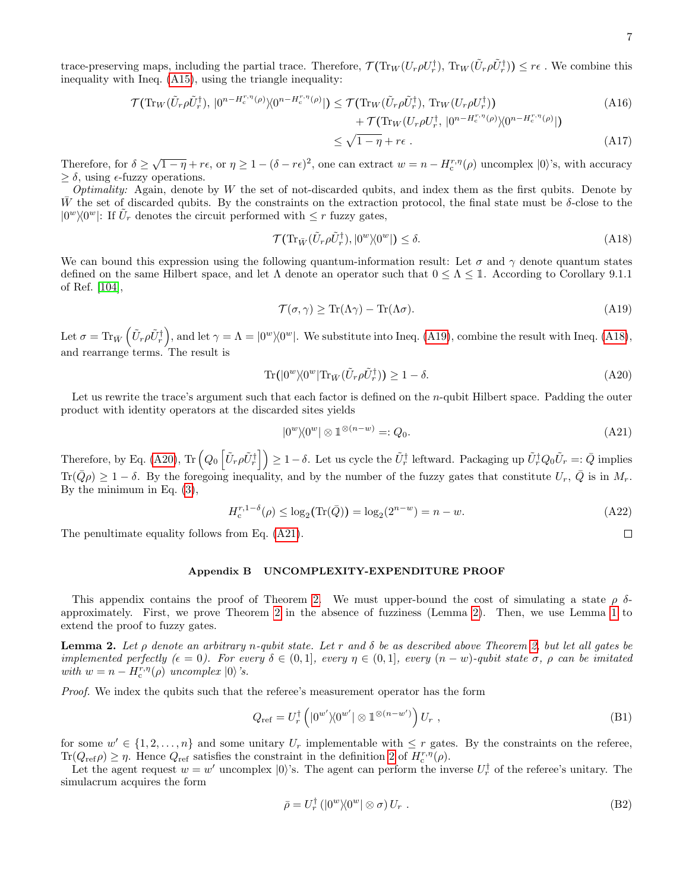trace-preserving maps, including the partial trace. Therefore,  $\mathcal{T}(\text{Tr}_W(U_r \rho U_r^{\dagger}), \text{Tr}_W(\tilde{U}_r \rho \tilde{U}_r^{\dagger})) \leq r \epsilon$ . We combine this inequality with Ineq. [\(A15\)](#page-5-8), using the triangle inequality:

$$
\mathcal{T}(\text{Tr}_{W}(\tilde{U}_{r}\rho\tilde{U}_{r}^{\dagger}), |0^{n-H_{c}^{r,\eta}(\rho)}\rangle\langle0^{n-H_{c}^{r,\eta}(\rho)}|) \leq \mathcal{T}(\text{Tr}_{W}(\tilde{U}_{r}\rho\tilde{U}_{r}^{\dagger}), \text{Tr}_{W}(U_{r}\rho U_{r}^{\dagger})) \n+ \mathcal{T}(\text{Tr}_{W}(U_{r}\rho U_{r}^{\dagger}, |0^{n-H_{c}^{r,\eta}(\rho)}\rangle\langle0^{n-H_{c}^{r,\eta}(\rho)}|) \n\leq \sqrt{1-\eta} + r\epsilon.
$$
\n(A17)

Therefore, for  $\delta \geq \sqrt{1-\eta} + r\epsilon$ , or  $\eta \geq 1-(\delta-r\epsilon)^2$ , one can extract  $w=n-H_c^{r,\eta}(\rho)$  uncomplex  $|0\rangle$ 's, with accuracy  $\geq \delta$ , using  $\epsilon$ -fuzzy operations.

*Optimality:* Again, denote by W the set of not-discarded qubits, and index them as the first qubits. Denote by W the set of discarded qubits. By the constraints on the extraction protocol, the final state must be  $\delta$ -close to the  $|0^w\rangle\langle 0^w|$ : If  $\tilde{U}_r$  denotes the circuit performed with  $\leq r$  fuzzy gates,

$$
\mathcal{T}(\mathrm{Tr}_{\bar{W}}(\tilde{U}_r \rho \tilde{U}_r^{\dagger}), |0^w \rangle \langle 0^w|) \le \delta. \tag{A18}
$$

We can bound this expression using the following quantum-information result: Let  $\sigma$  and  $\gamma$  denote quantum states defined on the same Hilbert space, and let  $\Lambda$  denote an operator such that  $0 \leq \Lambda \leq 1$ . According to Corollary 9.1.1 of Ref. [\[104\]](#page-12-3),

$$
\mathcal{T}(\sigma, \gamma) \ge \text{Tr}(\Lambda \gamma) - \text{Tr}(\Lambda \sigma). \tag{A19}
$$

Let  $\sigma = \text{Tr}_{\bar{W}}\left(\tilde{U}_r \rho \tilde{U}_r^{\dagger}\right)$ , and let  $\gamma = \Lambda = |0^w\rangle\langle0^w|$ . We substitute into Ineq. [\(A19\)](#page-6-1), combine the result with Ineq. [\(A18\)](#page-6-2), and rearrange terms. The result is

$$
\operatorname{Tr}(|0^w\rangle\langle 0^w|\operatorname{Tr}_{\bar{W}}(\tilde{U}_r\rho \tilde{U}_r^{\dagger})\rangle \ge 1 - \delta. \tag{A20}
$$

Let us rewrite the trace's argument such that each factor is defined on the *n*-qubit Hilbert space. Padding the outer product with identity operators at the discarded sites yields

$$
|0^w\rangle\langle 0^w| \otimes 1^{\otimes (n-w)} =: Q_0. \tag{A21}
$$

Therefore, by Eq. [\(A20\)](#page-6-3),  $\text{Tr}\left(Q_0\left[\tilde{U}_r\rho\tilde{U}_r^{\dagger}\right]\right) \geq 1-\delta$ . Let us cycle the  $\tilde{U}_r^{\dagger}$  leftward. Packaging up  $\tilde{U}_r^{\dagger}Q_0\tilde{U}_r =: \bar{Q}$  implies  $\text{Tr}(\bar{Q}\rho) \geq 1-\delta$ . By the foregoing inequality, and by the number of the fuzzy gates that constitute  $U_r$ ,  $\bar{Q}$  is in  $M_r$ . By the minimum in Eq. [\(3\)](#page-2-4),

$$
H_c^{r,1-\delta}(\rho) \le \log_2(\text{Tr}(\bar{Q})) = \log_2(2^{n-w}) = n - w.
$$
 (A22)

The penultimate equality follows from Eq.  $(A21)$ .

### <span id="page-6-0"></span>Appendix B UNCOMPLEXITY-EXPENDITURE PROOF

This appendix contains the proof of Theorem [2.](#page-3-2) We must upper-bound the cost of simulating a state  $\rho \delta$ approximately. First, we prove Theorem [2](#page-3-2) in the absence of fuzziness (Lemma [2\)](#page-6-5). Then, we use Lemma [1](#page-4-3) to extend the proof to fuzzy gates.

<span id="page-6-5"></span>**Lemma 2.** Let  $\rho$  denote an arbitrary n-qubit state. Let r and  $\delta$  be as described above Theorem [2,](#page-3-2) but let all gates be implemented perfectly  $(\epsilon = 0)$ . For every  $\delta \in (0,1]$ , every  $\eta \in (0,1]$ , every  $(n-w)$ -qubit state  $\sigma$ ,  $\rho$  can be imitated with  $w = n - H_c^{r,\eta}(\rho)$  uncomplex  $|0\rangle$ 's.

Proof. We index the qubits such that the referee's measurement operator has the form

$$
Q_{\rm ref} = U_r^{\dagger} \left( |0^{w'} \rangle \langle 0^{w'} | \otimes \mathbb{1}^{\otimes (n-w')} \right) U_r , \qquad (B1)
$$

for some  $w' \in \{1, 2, ..., n\}$  and some unitary  $U_r$  implementable with  $\leq r$  gates. By the constraints on the referee,  $\text{Tr}(Q_{\text{ref}}\rho) \geq \eta$ . Hence  $Q_{\text{ref}}$  satisfies the constraint in the definition [2](#page-2-2) of  $H_c^{r,\eta}(\rho)$ .

Let the agent request  $w = w'$  uncomplex  $|0\rangle$ 's. The agent can perform the inverse  $U_r^{\dagger}$  of the referee's unitary. The simulacrum acquires the form

$$
\bar{\rho} = U_r^{\dagger} \left( |0^w \rangle \langle 0^w | \otimes \sigma \right) U_r \tag{B2}
$$

<span id="page-6-6"></span><span id="page-6-4"></span><span id="page-6-3"></span><span id="page-6-2"></span><span id="page-6-1"></span> $\Box$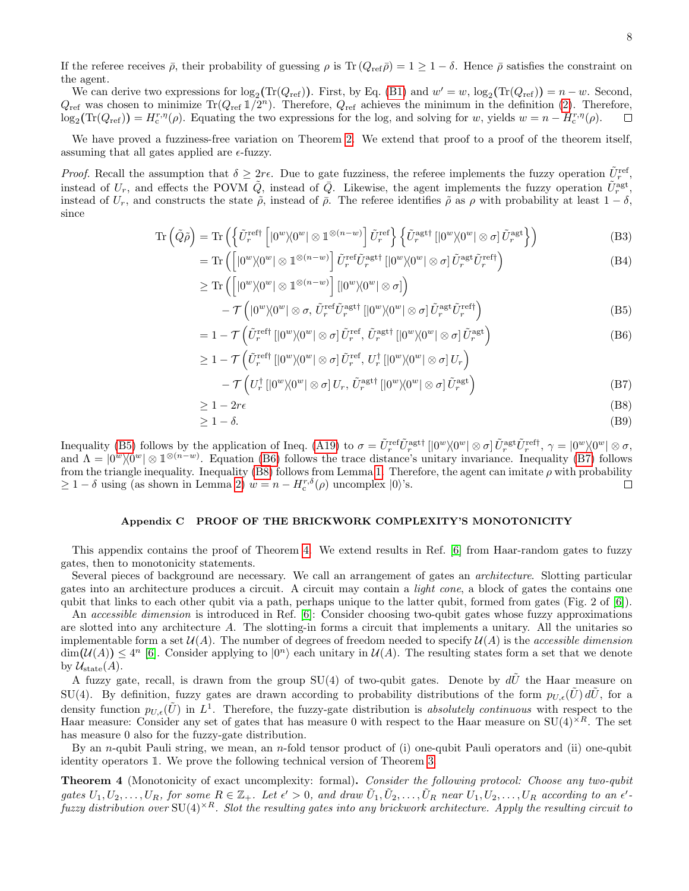If the referee receives  $\bar{\rho}$ , their probability of guessing  $\rho$  is Tr  $(Q_{ref}\bar{\rho}) = 1 \geq 1 - \delta$ . Hence  $\bar{\rho}$  satisfies the constraint on the agent.

We can derive two expressions for  $\log_2(\text{Tr}(Q_{\text{ref}}))$ . First, by Eq. [\(B1\)](#page-6-6) and  $w' = w$ ,  $\log_2(\text{Tr}(Q_{\text{ref}})) = n - w$ . Second,  $Q_{\text{ref}}$  was chosen to minimize  $\text{Tr}(Q_{\text{ref}} 1/2^n)$ . Therefore,  $Q_{\text{ref}}$  achieves the minimum in the definition [\(2\)](#page-2-2). Therefore,  $\log_2(\text{Tr}(Q_{\text{ref}})) = H_c^{r,\eta}(\rho)$ . Equating the two expressions for the log, and solving for w, yields  $w = n - H_c^{r,\eta}(\rho)$ . □

We have proved a fuzziness-free variation on Theorem [2.](#page-3-2) We extend that proof to a proof of the theorem itself, assuming that all gates applied are  $\epsilon$ -fuzzy.

*Proof.* Recall the assumption that  $\delta \geq 2r\epsilon$ . Due to gate fuzziness, the referee implements the fuzzy operation  $\tilde{U}_r^{\text{ref}}$ , instead of  $U_r$ , and effects the POVM  $\tilde{Q}$ , instead of  $\bar{Q}$ . Likewise, the agent implements the fuzzy operation  $\tilde{U}_r^{\text{agt}}$ , instead of  $U_r$ , and constructs the state  $\tilde{\rho}$ , instead of  $\bar{\rho}$ . The referee identifies  $\tilde{\rho}$  as  $\rho$  with probability at least  $1 - \delta$ , since

$$
\operatorname{Tr}\left(\tilde{Q}\tilde{\rho}\right) = \operatorname{Tr}\left(\left\{\tilde{U}_r^{\text{ref}\dagger}\left[|0^w\rangle\langle0^w| \otimes \mathbb{1}^{\otimes(n-w)}\right] \tilde{U}_r^{\text{ref}}\right\}\left\{\tilde{U}_r^{\text{agt}\dagger}\left[|0^w\rangle\langle0^w| \otimes \sigma\right] \tilde{U}_r^{\text{agt}}\right\}\right) \tag{B3}
$$

$$
= \text{Tr}\left( \left[ |0^w \rangle \langle 0^w | \otimes \mathbb{1}^{\otimes (n-w)} \right] \tilde{U}_r^{\text{ref}} \tilde{U}_r^{\text{agt} \dagger} \left[ |0^w \rangle \langle 0^w | \otimes \sigma \right] \tilde{U}_r^{\text{agt}} \tilde{U}_r^{\text{ref} \dagger} \right) \tag{B4}
$$

<span id="page-7-2"></span>
$$
\geq \text{Tr}\left(\left[|0^w\rangle\langle 0^w| \otimes 1^{\otimes (n-w)}\right] [|0^w\rangle\langle 0^w| \otimes \sigma]\right) - \mathcal{T}\left(|0^w\rangle\langle 0^w| \otimes \sigma, \tilde{U}_r^{\text{ref}} \tilde{U}_r^{\text{agt} \dagger} [|0^w\rangle\langle 0^w| \otimes \sigma] \tilde{U}_r^{\text{agt}} \tilde{U}_r^{\text{ref} \dagger}\right)
$$
(B5)

<span id="page-7-3"></span>
$$
= 1 - \mathcal{T}\left(\tilde{U}_r^{\text{reft}}\left[|0^w\rangle\langle0^w|\otimes\sigma\right]\tilde{U}_r^{\text{ref}}, \tilde{U}_r^{\text{agtt}}\left[|0^w\rangle\langle0^w|\otimes\sigma\right]\tilde{U}_r^{\text{agt}}\right) \tag{B6}
$$

<span id="page-7-4"></span>
$$
\geq 1 - \mathcal{T} \left( \tilde{U}_r^{\text{ref}} \left[ |0^w \rangle \langle 0^w | \otimes \sigma \right] \tilde{U}_r^{\text{ref}}, \, U_r^{\dagger} \left[ |0^w \rangle \langle 0^w | \otimes \sigma \right] U_r \right) - \mathcal{T} \left( U_r^{\dagger} \left[ |0^w \rangle \langle 0^w | \otimes \sigma \right] U_r, \, \tilde{U}_r^{\text{agt}\dagger} \left[ |0^w \rangle \langle 0^w | \otimes \sigma \right] \tilde{U}_r^{\text{agt}} \right) \tag{B7}
$$

<span id="page-7-5"></span>
$$
\geq 1 - 2r\epsilon \tag{B8}
$$

$$
\geq 1 - \delta. \tag{B9}
$$

Inequality [\(B5\)](#page-7-2) follows by the application of Ineq. [\(A19\)](#page-6-1) to  $\sigma = \tilde{U}_r^{\text{ref}} \tilde{U}_r^{\text{agt}\dagger} [|0^w\rangle\langle0^w| \otimes \sigma] \tilde{U}_r^{\text{agt}\dagger} \tilde{U}_r^{\text{ref}\dagger}, \gamma = |0^w\rangle\langle0^w| \otimes \sigma$ , and  $\Lambda = |0^w\rangle\langle 0^w| \otimes 1^{\otimes (n-w)}$ . Equation [\(B6\)](#page-7-3) follows the trace distance's unitary invariance. Inequality [\(B7\)](#page-7-4) follows from the triangle inequality. Inequality [\(B8\)](#page-7-5) follows from Lemma [1.](#page-4-3) Therefore, the agent can imitate  $\rho$  with probability  $\geq 1 - \delta$  using (as shown in Lemma [2\)](#page-6-5)  $w = n - H_c^{r,\delta}(\rho)$  uncomplex  $|0\rangle$ 's.  $\Box$ 

# <span id="page-7-0"></span>Appendix C PROOF OF THE BRICKWORK COMPLEXITY'S MONOTONICITY

This appendix contains the proof of Theorem [4.](#page-7-1) We extend results in Ref. [\[6\]](#page-10-4) from Haar-random gates to fuzzy gates, then to monotonicity statements.

Several pieces of background are necessary. We call an arrangement of gates an architecture. Slotting particular gates into an architecture produces a circuit. A circuit may contain a light cone, a block of gates the contains one qubit that links to each other qubit via a path, perhaps unique to the latter qubit, formed from gates (Fig. 2 of [\[6\]](#page-10-4)).

An accessible dimension is introduced in Ref. [\[6\]](#page-10-4): Consider choosing two-qubit gates whose fuzzy approximations are slotted into any architecture  $A$ . The slotting-in forms a circuit that implements a unitary. All the unitaries so implementable form a set  $\mathcal{U}(A)$ . The number of degrees of freedom needed to specify  $\mathcal{U}(A)$  is the *accessible dimension*  $\dim(\mathcal{U}(A)) \leq 4^n$  [\[6\]](#page-10-4). Consider applying to  $|0^n\rangle$  each unitary in  $\mathcal{U}(A)$ . The resulting states form a set that we denote by  $\mathcal{U}_{\text{state}}(A)$ .

A fuzzy gate, recall, is drawn from the group SU(4) of two-qubit gates. Denote by  $d\tilde{U}$  the Haar measure on SU(4). By definition, fuzzy gates are drawn according to probability distributions of the form  $p_{U,\epsilon}(\tilde{U}) d\tilde{U}$ , for a density function  $p_{U,\epsilon}(\tilde{U})$  in  $L^1$ . Therefore, the fuzzy-gate distribution is absolutely continuous with respect to the Haar measure: Consider any set of gates that has measure 0 with respect to the Haar measure on  $SU(4)^{\times R}$ . The set has measure 0 also for the fuzzy-gate distribution.

By an *n*-qubit Pauli string, we mean, an *n*-fold tensor product of (i) one-qubit Pauli operators and (ii) one-qubit identity operators 1. We prove the following technical version of Theorem [3.](#page-3-3)

<span id="page-7-1"></span>Theorem 4 (Monotonicity of exact uncomplexity: formal). Consider the following protocol: Choose any two-qubit gates  $U_1, U_2, \ldots, U_R$ , for some  $R \in \mathbb{Z}_+$ . Let  $\epsilon' > 0$ , and draw  $\tilde{U}_1, \tilde{U}_2, \ldots, \tilde{U}_R$  near  $U_1, U_2, \ldots, U_R$  according to an  $\epsilon'$ fuzzy distribution over  $SU(4)^{\times R}$ . Slot the resulting gates into any brickwork architecture. Apply the resulting circuit to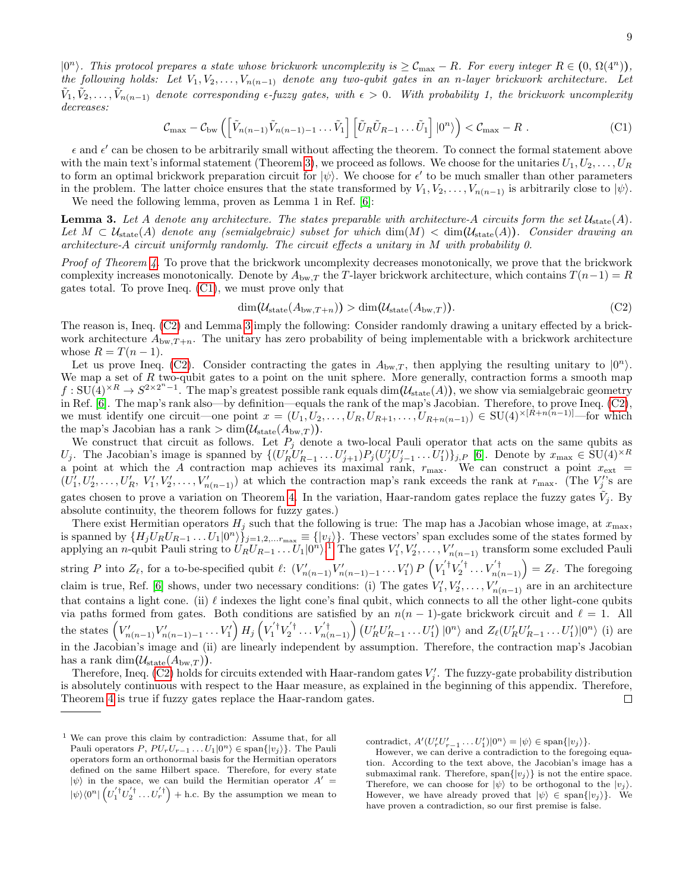$|0^n\rangle$ . This protocol prepares a state whose brickwork uncomplexity is  $\geq \mathcal{C}_{\max} - R$ . For every integer  $R \in (0, \Omega(4^n))$ , the following holds: Let  $V_1, V_2, \ldots, V_{n(n-1)}$  denote any two-qubit gates in an n-layer brickwork architecture. Let  $\tilde{V}_1, \tilde{V}_2, \ldots, \tilde{V}_{n(n-1)}$  denote corresponding  $\epsilon$ -fuzzy gates, with  $\epsilon > 0$ . With probability 1, the brickwork uncomplexity decreases:

$$
\mathcal{C}_{\max} - \mathcal{C}_{\text{bw}} \left( \left[ \tilde{V}_{n(n-1)} \tilde{V}_{n(n-1)-1} \dots \tilde{V}_1 \right] \left[ \tilde{U}_R \tilde{U}_{R-1} \dots \tilde{U}_1 \right] | 0^n \rangle \right) < \mathcal{C}_{\max} - R \ . \tag{C1}
$$

 $\epsilon$  and  $\epsilon'$  can be chosen to be arbitrarily small without affecting the theorem. To connect the formal statement above with the main text's informal statement (Theorem [3\)](#page-3-3), we proceed as follows. We choose for the unitaries  $U_1, U_2, \ldots, U_R$ to form an optimal brickwork preparation circuit for  $|\psi\rangle$ . We choose for  $\epsilon'$  to be much smaller than other parameters in the problem. The latter choice ensures that the state transformed by  $V_1, V_2, \ldots, V_{n(n-1)}$  is arbitrarily close to  $|\psi\rangle$ .

We need the following lemma, proven as Lemma 1 in Ref. [\[6\]](#page-10-4):

<span id="page-8-2"></span>**Lemma 3.** Let A denote any architecture. The states preparable with architecture-A circuits form the set  $\mathcal{U}_{\text{state}}(A)$ . Let  $M \subset \mathcal{U}_{state}(A)$  denote any (semialgebraic) subset for which  $\dim(M) < \dim(\mathcal{U}_{state}(A))$ . Consider drawing an architecture-A circuit uniformly randomly. The circuit effects a unitary in M with probability 0.

Proof of Theorem [4.](#page-7-1) To prove that the brickwork uncomplexity decreases monotonically, we prove that the brickwork complexity increases monotonically. Denote by  $A_{\text{bw},T}$  the T-layer brickwork architecture, which contains  $T(n-1) = R$ gates total. To prove Ineq. [\(C1\)](#page-8-0), we must prove only that

<span id="page-8-1"></span><span id="page-8-0"></span>
$$
\dim(\mathcal{U}_{\text{state}}(A_{\text{bw},T+n})) > \dim(\mathcal{U}_{\text{state}}(A_{\text{bw},T})). \tag{C2}
$$

The reason is, Ineq. [\(C2\)](#page-8-1) and Lemma [3](#page-8-2) imply the following: Consider randomly drawing a unitary effected by a brickwork architecture  $A_{\text{bw},T+n}$ . The unitary has zero probability of being implementable with a brickwork architecture whose  $R = T(n-1)$ .

Let us prove Ineq. [\(C2\)](#page-8-1). Consider contracting the gates in  $A_{bw,T}$ , then applying the resulting unitary to  $|0^n\rangle$ . We map a set of  $R$  two-qubit gates to a point on the unit sphere. More generally, contraction forms a smooth map  $f: SU(4) \times R \to S^{2 \times 2^{n}-1}$ . The map's greatest possible rank equals dim $(\mathcal{U}_{\text{state}}(A))$ , we show via semialgebraic geometry in Ref. [\[6\]](#page-10-4). The map's rank also—by definition—equals the rank of the map's Jacobian. Therefore, to prove Ineq. [\(C2\)](#page-8-1), we must identify one circuit—one point  $x = (U_1, U_2, \ldots, U_R, U_{R+1}, \ldots, U_{R+n(n-1)}) \in SU(4)^{\times [R+n(n-1)]}$ —for which the map's Jacobian has a rank  $> dim(U_{\text{state}}(A_{\text{bw},T}))$ .

We construct that circuit as follows. Let  $P_j$  denote a two-local Pauli operator that acts on the same qubits as U<sub>j</sub>. The Jacobian's image is spanned by  $\{ (U_R' U_{R-1}' \dots U_{j+1}') P_j (U_j' U_{j-1}' \dots U_1') \}_{j,P}$  [\[6\]](#page-10-4). Denote by  $x_{\max} \in SU(4)^{\times R}$ a point at which the A contraction map achieves its maximal rank,  $r_{\text{max}}$ . We can construct a point  $x_{\text{ext}}$  =  $(U'_1, U'_2, \ldots, U'_R, V'_1, V'_2, \ldots, V'_{n(n-1)})$  at which the contraction map's rank exceeds the rank at  $r_{\text{max}}$ . (The  $V'_j$ 's are gates chosen to prove a variation on Theorem [4.](#page-7-1) In the variation, Haar-random gates replace the fuzzy gates  $\tilde{V}_j$ . By absolute continuity, the theorem follows for fuzzy gates.)

There exist Hermitian operators  $H_j$  such that the following is true: The map has a Jacobian whose image, at  $x_{\text{max}}$ , is spanned by  $\{H_j U_R U_{R-1} \dots U_1 | 0^n \rangle\}_{j=1,2,\dots r_{\text{max}}} \equiv \{|v_j \rangle\}.$  These vectors' span excludes some of the states formed by applying an *n*-qubit Pauli string to  $U_R U_{R-1} \ldots U_1 | 0^n$  $U_R U_{R-1} \ldots U_1 | 0^n$  $U_R U_{R-1} \ldots U_1 | 0^n$ .<sup>1</sup> The gates  $V'_1, V'_2, \ldots, V'_{n(n-1)}$  transform some excluded Pauli string P into  $Z_{\ell}$ , for a to-be-specified qubit  $\ell: (V'_{n(n-1)}V'_{n(n-1)-1}\ldots V'_{1}) P\left(V^{'}_{1}V^{'}_{2} \ldots V^{'}_{n(n-1)}\right) = Z_{\ell}$ . The foregoing claim is true, Ref. [\[6\]](#page-10-4) shows, under two necessary conditions: (i) The gates  $V'_1, V'_2, \ldots, V'_{n(n-1)}$  are in an architecture that contains a light cone. (ii)  $\ell$  indexes the light cone's final qubit, which connects to all the other light-cone qubits via paths formed from gates. Both conditions are satisfied by an  $n(n - 1)$ -gate brickwork circuit and  $\ell = 1$ . All the states  $(V'_{n(n-1)}V'_{n(n-1)-1}\ldots V'_{1}) H_{j} (V'^{\dagger}_{1}V'^{\dagger}_{2}\ldots V'^{\dagger}_{n(n-1)}) (U'_{R}U'_{R-1}\ldots U'_{1}) |0^{n}$  and  $Z_{\ell}(U'_{R}U'_{R-1}\ldots U'_{1}) |0^{n}$  (i) are in the Jacobian's image and (ii) are linearly independent by assumption. Therefore, the contraction map's Jacobian has a rank dim $(\mathcal{U}_{\text{state}}(A_{\text{bw},T})).$ 

Therefore, Ineq. [\(C2\)](#page-8-1) holds for circuits extended with Haar-random gates  $V'_j$ . The fuzzy-gate probability distribution is absolutely continuous with respect to the Haar measure, as explained in the beginning of this appendix. Therefore, Theorem [4](#page-7-1) is true if fuzzy gates replace the Haar-random gates.  $\Box$ 

contradict,  $A'(U'_r U'_{r-1} \dots U'_1)|0^n\rangle = |\psi\rangle \in \text{span}\{|v_j\rangle\}.$ 

However, we can derive a contradiction to the foregoing equation. According to the text above, the Jacobian's image has a submaximal rank. Therefore, span $\{|v_j\rangle\}$  is not the entire space. Therefore, we can choose for  $|\psi\rangle$  to be orthogonal to the  $|v_i\rangle$ . However, we have already proved that  $|\psi\rangle \in \text{span}\{|v_i\rangle\}$ . We have proven a contradiction, so our first premise is false.

<span id="page-8-3"></span><sup>1</sup> We can prove this claim by contradiction: Assume that, for all Pauli operators  $P, PU_r U_{r-1} \ldots U_1 | 0^n \rangle \in \text{span}\{|v_j \rangle\}.$  The Pauli operators form an orthonormal basis for the Hermitian operators defined on the same Hilbert space. Therefore, for every state  $|\psi\rangle$  in the space, we can build the Hermitian operator  $A' =$  $|\psi\rangle\langle 0^n|\left(U_1^{'\dagger}U_2^{'\dagger}\ldots U_r^{'\dagger}\right) + \text{h.c.}$  By the assumption we mean to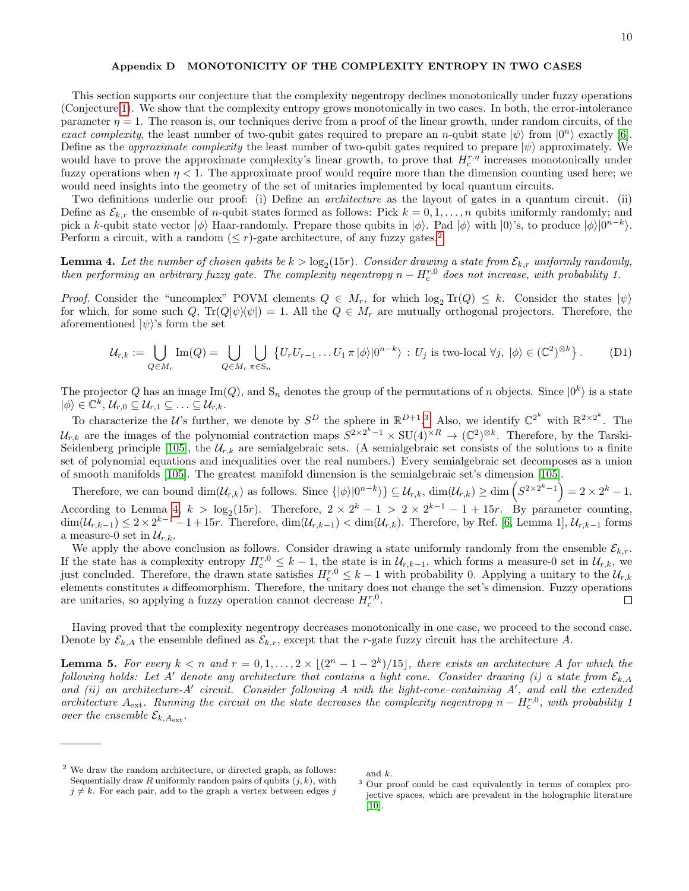# <span id="page-9-0"></span>Appendix D MONOTONICITY OF THE COMPLEXITY ENTROPY IN TWO CASES

This section supports our conjecture that the complexity negentropy declines monotonically under fuzzy operations (Conjecture [1\)](#page-3-1). We show that the complexity entropy grows monotonically in two cases. In both, the error-intolerance parameter  $\eta = 1$ . The reason is, our techniques derive from a proof of the linear growth, under random circuits, of the exact complexity, the least number of two-qubit gates required to prepare an n-qubit state  $|\psi\rangle$  from  $|0^n\rangle$  exactly [\[6\]](#page-10-4). Define as the *approximate complexity* the least number of two-qubit gates required to prepare  $|\psi\rangle$  approximately. We would have to prove the approximate complexity's linear growth, to prove that  $H_c^{r,\eta}$  increases monotonically under fuzzy operations when  $\eta < 1$ . The approximate proof would require more than the dimension counting used here; we would need insights into the geometry of the set of unitaries implemented by local quantum circuits.

Two definitions underlie our proof: (i) Define an *architecture* as the layout of gates in a quantum circuit. (ii) Define as  $\mathcal{E}_{k,r}$  the ensemble of *n*-qubit states formed as follows: Pick  $k = 0, 1, \ldots, n$  qubits uniformly randomly; and pick a k-qubit state vector  $|\phi\rangle$  Haar-randomly. Prepare those qubits in  $|\phi\rangle$ . Pad  $|\phi\rangle$  with  $|0\rangle$ 's, to produce  $|\phi\rangle|0^{n-k}\rangle$ . Perform a circuit, with a random  $(< r$ )-gate architecture, of any fuzzy gates.<sup>[2](#page-9-1)</sup>

<span id="page-9-3"></span>**Lemma 4.** Let the number of chosen qubits be  $k > \log_2(15r)$ . Consider drawing a state from  $\mathcal{E}_{k,r}$  uniformly randomly, then performing an arbitrary fuzzy gate. The complexity negentropy  $n - H_c^{r,0}$  does not increase, with probability 1.

Proof. Consider the "uncomplex" POVM elements  $Q \in M_r$ , for which  $\log_2 \text{Tr}(Q) \leq k$ . Consider the states  $|\psi\rangle$ for which, for some such Q,  $\text{Tr}(Q|\psi\rangle\langle\psi|) = 1$ . All the  $Q \in M_r$  are mutually orthogonal projectors. Therefore, the aforementioned  $|\psi\rangle$ 's form the set

<span id="page-9-4"></span>
$$
\mathcal{U}_{r,k} := \bigcup_{Q \in M_r} \text{Im}(Q) = \bigcup_{Q \in M_r} \bigcup_{\pi \in S_n} \{ U_r U_{r-1} \dots U_1 \pi |\phi\rangle | 0^{n-k} \rangle : U_j \text{ is two-local } \forall j, \ |\phi\rangle \in (\mathbb{C}^2)^{\otimes k} \}.
$$
 (D1)

The projector Q has an image  $\text{Im}(Q)$ , and  $\text{S}_n$  denotes the group of the permutations of n objects. Since  $|0^k\rangle$  is a state  $|\phi\rangle \in \mathbb{C}^k, \, \mathcal{U}_{r,0} \subseteq \mathcal{U}_{r,1} \subseteq \ldots \subseteq \mathcal{U}_{r,k}.$ 

To characterize the U's further, we denote by  $S^D$  the sphere in  $\mathbb{R}^{D+1,3}$  $\mathbb{R}^{D+1,3}$  $\mathbb{R}^{D+1,3}$  Also, we identify  $\mathbb{C}^{2^k}$  with  $\mathbb{R}^{2\times 2^k}$ . The  $\mathcal{U}_{r,k}$  are the images of the polynomial contraction maps  $S^{2\times 2^k-1}\times SU(4)^{\times R} \to (\mathbb{C}^2)^{\otimes k}$ . Therefore, by the Tarski-Seidenberg principle [\[105\]](#page-12-4), the  $\mathcal{U}_{r,k}$  are semialgebraic sets. (A semialgebraic set consists of the solutions to a finite set of polynomial equations and inequalities over the real numbers.) Every semialgebraic set decomposes as a union of smooth manifolds [\[105\]](#page-12-4). The greatest manifold dimension is the semialgebraic set's dimension [\[105\]](#page-12-4).

Therefore, we can bound  $\dim(\mathcal{U}_{r,k})$  as follows. Since  $\{|\phi\rangle|0^{n-k}\}\subseteq \mathcal{U}_{r,k}$ ,  $\dim(\mathcal{U}_{r,k}) \geq \dim\left(S^{2\times 2^k-1}\right) = 2\times 2^k - 1$ . According to Lemma [4,](#page-9-3)  $k > \log_2(15r)$ . Therefore,  $2 \times 2^k - 1 > 2 \times 2^{k-1} - 1 + 15r$ . By parameter counting,  $\dim(\mathcal{U}_{r,k-1}) \leq 2 \times 2^{k-1} - 1 + 15r$ . Therefore,  $\dim(\mathcal{U}_{r,k-1}) < \dim(\mathcal{U}_{r,k})$ . Therefore, by Ref. [\[6,](#page-10-4) Lemma 1],  $\mathcal{U}_{r,k-1}$  forms a measure-0 set in  $\mathcal{U}_{r,k}$ .

We apply the above conclusion as follows. Consider drawing a state uniformly randomly from the ensemble  $\mathcal{E}_{k,r}$ . If the state has a complexity entropy  $H_c^{r,0} \leq k-1$ , the state is in  $\mathcal{U}_{r,k-1}$ , which forms a measure-0 set in  $\mathcal{U}_{r,k}$ , we just concluded. Therefore, the drawn state satisfies  $H_c^{r,0} \leq k-1$  with probability 0. Applying a unitary to the  $\mathcal{U}_{r,k}$ elements constitutes a diffeomorphism. Therefore, the unitary does not change the set's dimension. Fuzzy operations are unitaries, so applying a fuzzy operation cannot decrease  $H_c^{r,0}$ .  $\Box$ 

Having proved that the complexity negentropy decreases monotonically in one case, we proceed to the second case. Denote by  $\mathcal{E}_{k,A}$  the ensemble defined as  $\mathcal{E}_{k,r}$ , except that the r-gate fuzzy circuit has the architecture A.

**Lemma 5.** For every  $k < n$  and  $r = 0, 1, ..., 2 \times \lfloor (2^n - 1 - 2^k)/15 \rfloor$ , there exists an architecture A for which the following holds: Let A' denote any architecture that contains a light cone. Consider drawing (i) a state from  $\mathcal{E}_{k,A}$ and (ii) an architecture-A' circuit. Consider following A with the light-cone-containing  $A'$ , and call the extended architecture  $A_{\text{ext}}$ . Running the circuit on the state decreases the complexity negentropy  $n - H_c^{r,0}$ , with probability 1 over the ensemble  $\mathcal{E}_{k,A_{\text{ext}}}$ .

<span id="page-9-2"></span>and k.

<span id="page-9-1"></span><sup>2</sup> We draw the random architecture, or directed graph, as follows: Sequentially draw  $R$  uniformly random pairs of qubits  $(j, k)$ , with  $j \neq k$ . For each pair, add to the graph a vertex between edges j

<sup>3</sup> Our proof could be cast equivalently in terms of complex projective spaces, which are prevalent in the holographic literature  $[10]$ .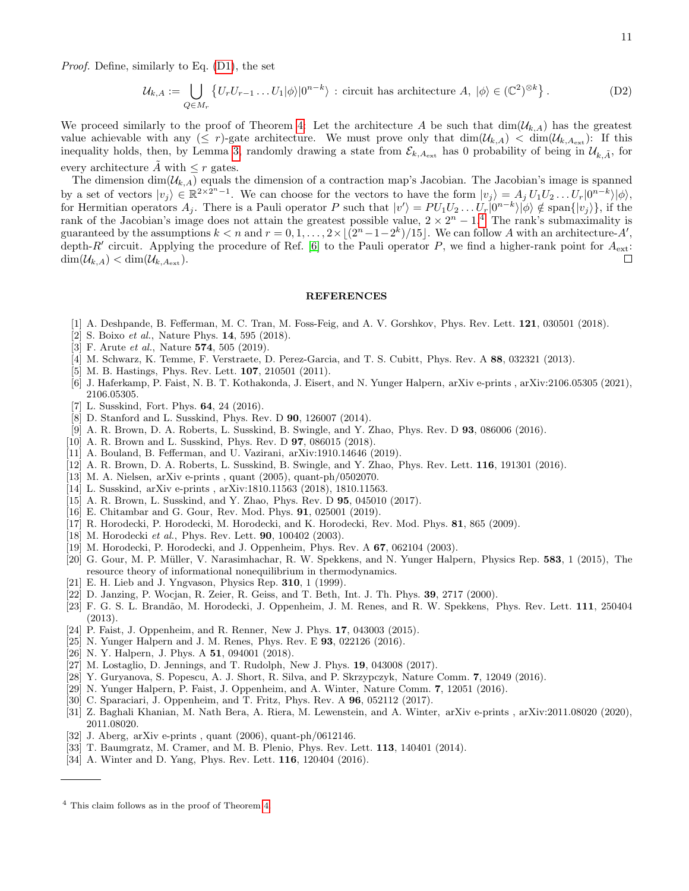Proof. Define, similarly to Eq. [\(D1\)](#page-9-4), the set

$$
\mathcal{U}_{k,A} := \bigcup_{Q \in M_r} \left\{ U_r U_{r-1} \dots U_1 |\phi\rangle |0^{n-k} \right\} : \text{ circuit has architecture } A, \ |\phi\rangle \in (\mathbb{C}^2)^{\otimes k} \right\}. \tag{D2}
$$

We proceed similarly to the proof of Theorem [4:](#page-7-1) Let the architecture A be such that  $\dim(\mathcal{U}_{k,A})$  has the greatest value achievable with any  $(\leq r)$ -gate architecture. We must prove only that  $\dim(\mathcal{U}_{k,A}) < \dim(\mathcal{U}_{k,A_{\text{ext}}})$ : If this inequality holds, then, by Lemma [3,](#page-8-2) randomly drawing a state from  $\mathcal{E}_{k,A_{\rm ext}}$  has 0 probability of being in  $\mathcal{U}_{k,\tilde{A}}$ , for every architecture  $\tilde{A}$  with  $\leq r$  gates.

The dimension  $\dim(\mathcal{U}_{k,A})$  equals the dimension of a contraction map's Jacobian. The Jacobian's image is spanned by a set of vectors  $|v_j\rangle \in \mathbb{R}^{2 \times 2^{n}-1}$ . We can choose for the vectors to have the form  $|v_j\rangle = A_j U_1 U_2 ... U_r |0^{n-k}\rangle |\phi\rangle$ , for Hermitian operators  $A_j$ . There is a Pauli operator P such that  $|v'\rangle = PU_1U_2 \dots U_r|0^{n-k}\rangle |\phi\rangle \notin \text{span}\{|v_j\rangle\},\$ if the rank of the Jacobian's image does not attain the greatest possible value,  $2 \times 2^{n} - 1$ .<sup>[4](#page-10-19)</sup> The rank's submaximality is guaranteed by the assumptions  $k < n$  and  $r = 0, 1, ..., 2 \times |(2^n - 1 - 2^k)/15|$ . We can follow A with an architecture-A', depth-R' circuit. Applying the procedure of Ref. [\[6\]](#page-10-4) to the Pauli operator P, we find a higher-rank point for  $A_{\text{ext}}$ :  $\dim(\mathcal{U}_{k,A}) < \dim(\mathcal{U}_{k,A_{\rm ext}}).$  $\Box$ 

#### REFERENCES

- <span id="page-10-0"></span>[1] A. Deshpande, B. Fefferman, M. C. Tran, M. Foss-Feig, and A. V. Gorshkov, Phys. Rev. Lett. 121, 030501 (2018).
- [2] S. Boixo *et al.*, Nature Phys. **14**, 595 (2018).
- <span id="page-10-1"></span>[3] F. Arute *et al.*, Nature **574**, 505 (2019).
- <span id="page-10-2"></span>[4] M. Schwarz, K. Temme, F. Verstraete, D. Perez-Garcia, and T. S. Cubitt, Phys. Rev. A 88, 032321 (2013).
- <span id="page-10-3"></span>[5] M. B. Hastings, Phys. Rev. Lett. **107**, 210501 (2011).
- <span id="page-10-4"></span>[6] J. Haferkamp, P. Faist, N. B. T. Kothakonda, J. Eisert, and N. Yunger Halpern, arXiv e-prints , arXiv:2106.05305 (2021), 2106.05305.
- <span id="page-10-5"></span>[7] L. Susskind, Fort. Phys. 64, 24 (2016).
- <span id="page-10-18"></span>[8] D. Stanford and L. Susskind, Phys. Rev. D 90, 126007 (2014).
- [9] A. R. Brown, D. A. Roberts, L. Susskind, B. Swingle, and Y. Zhao, Phys. Rev. D 93, 086006 (2016).
- <span id="page-10-7"></span>[10] A. R. Brown and L. Susskind, Phys. Rev. D 97, 086015 (2018).
- [11] A. Bouland, B. Fefferman, and U. Vazirani, arXiv:1910.14646 (2019).
- <span id="page-10-6"></span>[12] A. R. Brown, D. A. Roberts, L. Susskind, B. Swingle, and Y. Zhao, Phys. Rev. Lett. 116, 191301 (2016).
- <span id="page-10-16"></span>[13] M. A. Nielsen, arXiv e-prints , quant (2005), quant-ph/0502070.
- <span id="page-10-8"></span>[14] L. Susskind, arXiv e-prints , arXiv:1810.11563 (2018), 1810.11563.
- <span id="page-10-17"></span>[15] A. R. Brown, L. Susskind, and Y. Zhao, Phys. Rev. D **95**, 045010 (2017).
- <span id="page-10-9"></span>[16] E. Chitambar and G. Gour, Rev. Mod. Phys. **91**, 025001 (2019).
- <span id="page-10-10"></span>[17] R. Horodecki, P. Horodecki, M. Horodecki, and K. Horodecki, Rev. Mod. Phys. 81, 865 (2009).
- <span id="page-10-11"></span>[18] M. Horodecki et al., Phys. Rev. Lett. **90**, 100402 (2003).
- [19] M. Horodecki, P. Horodecki, and J. Oppenheim, Phys. Rev. A 67, 062104 (2003).
- <span id="page-10-12"></span>[20] G. Gour, M. P. Müller, V. Narasimhachar, R. W. Spekkens, and N. Yunger Halpern, Physics Rep. 583, 1 (2015), The resource theory of informational nonequilibrium in thermodynamics.
- <span id="page-10-13"></span>[21] E. H. Lieb and J. Yngvason, Physics Rep. 310, 1 (1999).
- [22] D. Janzing, P. Wocjan, R. Zeier, R. Geiss, and T. Beth, Int. J. Th. Phys. 39, 2717 (2000).
- [23] F. G. S. L. Brandão, M. Horodecki, J. Oppenheim, J. M. Renes, and R. W. Spekkens, Phys. Rev. Lett. 111, 250404 (2013).
- [24] P. Faist, J. Oppenheim, and R. Renner, New J. Phys. 17, 043003 (2015).
- [25] N. Yunger Halpern and J. M. Renes, Phys. Rev. E 93, 022126 (2016).
- [26] N.Y. Halpern, J. Phys. A **51**, 094001 (2018).
- [27] M. Lostaglio, D. Jennings, and T. Rudolph, New J. Phys. 19, 043008 (2017).
- [28] Y. Guryanova, S. Popescu, A. J. Short, R. Silva, and P. Skrzypczyk, Nature Comm. 7, 12049 (2016).
- [29] N. Yunger Halpern, P. Faist, J. Oppenheim, and A. Winter, Nature Comm. 7, 12051 (2016).
- [30] C. Sparaciari, J. Oppenheim, and T. Fritz, Phys. Rev. A **96**, 052112 (2017).
- <span id="page-10-14"></span>[31] Z. Baghali Khanian, M. Nath Bera, A. Riera, M. Lewenstein, and A. Winter, arXiv e-prints , arXiv:2011.08020 (2020), 2011.08020.
- <span id="page-10-15"></span>[32] J. Aberg, arXiv e-prints , quant (2006), quant-ph/0612146.
- [33] T. Baumgratz, M. Cramer, and M. B. Plenio, Phys. Rev. Lett. **113**, 140401 (2014).
- [34] A. Winter and D. Yang, Phys. Rev. Lett. **116**, 120404 (2016).

<span id="page-10-19"></span><sup>4</sup> This claim follows as in the proof of Theorem [4.](#page-7-1)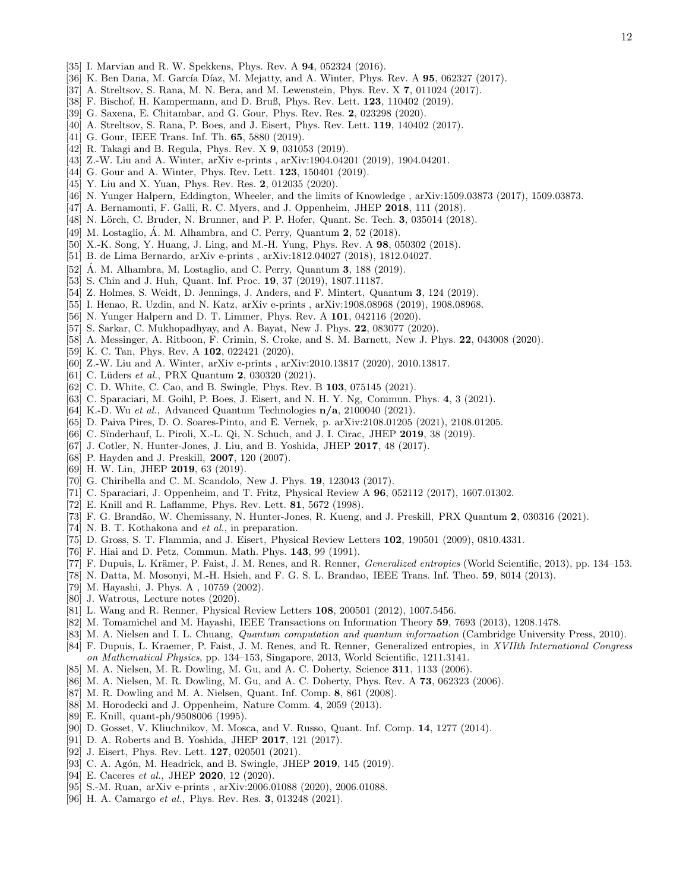- [35] I. Marvian and R. W. Spekkens, Phys. Rev. A 94, 052324 (2016).
- [36] K. Ben Dana, M. García Díaz, M. Mejatty, and A. Winter, Phys. Rev. A 95, 062327 (2017).
- [37] A. Streltsov, S. Rana, M. N. Bera, and M. Lewenstein, Phys. Rev. X 7, 011024 (2017).
- [38] F. Bischof, H. Kampermann, and D. Bruß, Phys. Rev. Lett. **123**, 110402 (2019).
- [39] G. Saxena, E. Chitambar, and G. Gour, Phys. Rev. Res. 2, 023298 (2020).
- <span id="page-11-0"></span>[40] A. Streltsov, S. Rana, P. Boes, and J. Eisert, Phys. Rev. Lett. 119, 140402 (2017).
- <span id="page-11-1"></span>[41] G. Gour, IEEE Trans. Inf. Th. **65**, 5880 (2019).
- [42] R. Takagi and B. Regula, Phys. Rev. X 9, 031053 (2019).
- [43] Z.-W. Liu and A. Winter, arXiv e-prints , arXiv:1904.04201 (2019), 1904.04201.
- [44] G. Gour and A. Winter, Phys. Rev. Lett. **123**, 150401 (2019).
- <span id="page-11-2"></span>[45] Y. Liu and X. Yuan, Phys. Rev. Res. 2, 012035 (2020).
- <span id="page-11-3"></span>[46] N. Yunger Halpern, Eddington, Wheeler, and the limits of Knowledge , arXiv:1509.03873 (2017), 1509.03873.
- [47] A. Bernamonti, F. Galli, R. C. Myers, and J. Oppenheim, JHEP 2018, 111 (2018).
- [48] N. Lörch, C. Bruder, N. Brunner, and P. P. Hofer, Quant. Sc. Tech. 3, 035014 (2018).
- [49] M. Lostaglio, Á. M. Alhambra, and C. Perry, Quantum  $2, 52$  (2018).
- [50] X.-K. Song, Y. Huang, J. Ling, and M.-H. Yung, Phys. Rev. A 98, 050302 (2018).
- [51] B. de Lima Bernardo, arXiv e-prints , arXiv:1812.04027 (2018), 1812.04027.
- [52]  $\AA$ . M. Alhambra, M. Lostaglio, and C. Perry, Quantum **3**, 188 (2019).
- [53] S. Chin and J. Huh, Quant. Inf. Proc. 19, 37 (2019), 1807.11187.
- [54] Z. Holmes, S. Weidt, D. Jennings, J. Anders, and F. Mintert, Quantum 3, 124 (2019).
- [55] I. Henao, R. Uzdin, and N. Katz, arXiv e-prints , arXiv:1908.08968 (2019), 1908.08968.
- [56] N. Yunger Halpern and D. T. Limmer, Phys. Rev. A 101, 042116 (2020).
- [57] S. Sarkar, C. Mukhopadhyay, and A. Bayat, New J. Phys. 22, 083077 (2020).
- [58] A. Messinger, A. Ritboon, F. Crimin, S. Croke, and S. M. Barnett, New J. Phys. **22**, 043008 (2020).
- [59] K. C. Tan, Phys. Rev. A **102**, 022421 (2020).
- [60] Z.-W. Liu and A. Winter, arXiv e-prints , arXiv:2010.13817 (2020), 2010.13817.
- [61] C. Lüders et al., PRX Quantum 2, 030320 (2021).
- [62] C. D. White, C. Cao, and B. Swingle, Phys. Rev. B 103, 075145 (2021).
- [63] C. Sparaciari, M. Goihl, P. Boes, J. Eisert, and N. H. Y. Ng, Commun. Phys. 4, 3 (2021).
- [64] K.-D. Wu et al., Advanced Quantum Technologies  $n/a$ , 2100040 (2021).
- <span id="page-11-4"></span>[65] D. Paiva Pires, D. O. Soares-Pinto, and E. Vernek, p. arXiv:2108.01205 (2021), 2108.01205.
- <span id="page-11-5"></span>[66] C. Sinderhauf, L. Piroli, X.-L. Qi, N. Schuch, and J. I. Cirac, JHEP 2019, 38 (2019).
- [67] J. Cotler, N. Hunter-Jones, J. Liu, and B. Yoshida, JHEP 2017, 48 (2017).
- <span id="page-11-6"></span>[68] P. Hayden and J. Preskill, **2007**, 120 (2007).
- <span id="page-11-7"></span>[69] H. W. Lin, JHEP 2019, 63 (2019).
- <span id="page-11-8"></span>[70] G. Chiribella and C. M. Scandolo, New J. Phys. 19, 123043 (2017).
- <span id="page-11-9"></span>[71] C. Sparaciari, J. Oppenheim, and T. Fritz, Physical Review A 96, 052112 (2017), 1607.01302.
- <span id="page-11-10"></span>[72] E. Knill and R. Laflamme, Phys. Rev. Lett. 81, 5672 (1998).
- <span id="page-11-11"></span>[73] F. G. Brandão, W. Chemissany, N. Hunter-Jones, R. Kueng, and J. Preskill, PRX Quantum 2, 030316 (2021).
- <span id="page-11-12"></span>[74] N. B. T. Kothakona and *et al.*, in preparation.
- <span id="page-11-13"></span>[75] D. Gross, S. T. Flammia, and J. Eisert, Physical Review Letters 102, 190501 (2009), 0810.4331.
- <span id="page-11-14"></span>[76] F. Hiai and D. Petz, Commun. Math. Phys. 143, 99 (1991).
- [77] F. Dupuis, L. Krämer, P. Faist, J. M. Renes, and R. Renner, *Generalized entropies* (World Scientific, 2013), pp. 134–153.
- <span id="page-11-17"></span>[78] N. Datta, M. Mosonyi, M.-H. Hsieh, and F. G. S. L. Brandao, IEEE Trans. Inf. Theo. 59, 8014 (2013).
- [79] M. Hayashi, J. Phys. A , 10759 (2002).
- [80] J. Watrous, Lecture notes (2020).
- <span id="page-11-18"></span>[81] L. Wang and R. Renner, Physical Review Letters 108, 200501 (2012), 1007.5456.
- <span id="page-11-15"></span>[82] M. Tomamichel and M. Hayashi, IEEE Transactions on Information Theory 59, 7693 (2013), 1208.1478.
- <span id="page-11-16"></span>[83] M. A. Nielsen and I. L. Chuang, *Quantum computation and quantum information* (Cambridge University Press, 2010).
- <span id="page-11-19"></span>[84] F. Dupuis, L. Kraemer, P. Faist, J. M. Renes, and R. Renner, Generalized entropies, in XVIIth International Congress on Mathematical Physics, pp. 134–153, Singapore, 2013, World Scientific, 1211.3141.
- <span id="page-11-20"></span>[85] M. A. Nielsen, M. R. Dowling, M. Gu, and A. C. Doherty, Science 311, 1133 (2006).
- <span id="page-11-23"></span>[86] M. A. Nielsen, M. R. Dowling, M. Gu, and A. C. Doherty, Phys. Rev. A 73, 062323 (2006).
- <span id="page-11-21"></span>[87] M. R. Dowling and M. A. Nielsen, Quant. Inf. Comp. 8, 861 (2008).
- <span id="page-11-22"></span>[88] M. Horodecki and J. Oppenheim, Nature Comm. 4, 2059 (2013).
- <span id="page-11-24"></span>[89] E. Knill, quant-ph/9508006 (1995).
- [90] D. Gosset, V. Kliuchnikov, M. Mosca, and V. Russo, Quant. Inf. Comp. 14, 1277 (2014).
- [91] D. A. Roberts and B. Yoshida, JHEP 2017, 121 (2017).
- <span id="page-11-25"></span>[92] J. Eisert, Phys. Rev. Lett. **127**, 020501 (2021).
- <span id="page-11-26"></span>[93] C. A. Agón, M. Headrick, and B. Swingle, JHEP 2019, 145 (2019).
- [94] E. Caceres et al., JHEP 2020, 12 (2020).
- [95] S.-M. Ruan, arXiv e-prints , arXiv:2006.01088 (2020), 2006.01088.
- [96] H. A. Camargo et al., Phys. Rev. Res. 3, 013248 (2021).